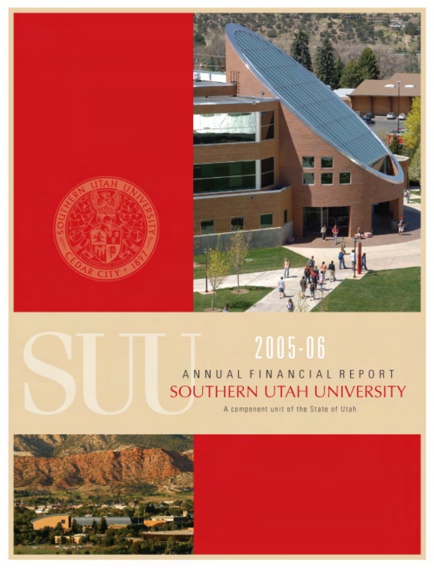



# 2005-06 ANNUAL FINANCIAL REPORT SOUTHERN UTAH UNIVERSITY

A component unit of the State of Utah

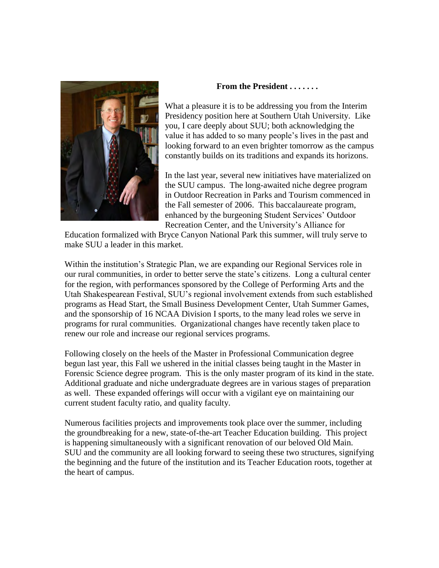

### **From the President . . . . . . .**

What a pleasure it is to be addressing you from the Interim Presidency position here at Southern Utah University. Like you, I care deeply about SUU; both acknowledging the value it has added to so many people's lives in the past and looking forward to an even brighter tomorrow as the campus constantly builds on its traditions and expands its horizons.

In the last year, several new initiatives have materialized on the SUU campus. The long-awaited niche degree program in Outdoor Recreation in Parks and Tourism commenced in the Fall semester of 2006. This baccalaureate program, enhanced by the burgeoning Student Services' Outdoor Recreation Center, and the University's Alliance for

Education formalized with Bryce Canyon National Park this summer, will truly serve to make SUU a leader in this market.

Within the institution's Strategic Plan, we are expanding our Regional Services role in our rural communities, in order to better serve the state's citizens. Long a cultural center for the region, with performances sponsored by the College of Performing Arts and the Utah Shakespearean Festival, SUU's regional involvement extends from such established programs as Head Start, the Small Business Development Center, Utah Summer Games, and the sponsorship of 16 NCAA Division I sports, to the many lead roles we serve in programs for rural communities. Organizational changes have recently taken place to renew our role and increase our regional services programs.

Following closely on the heels of the Master in Professional Communication degree begun last year, this Fall we ushered in the initial classes being taught in the Master in Forensic Science degree program. This is the only master program of its kind in the state. Additional graduate and niche undergraduate degrees are in various stages of preparation as well. These expanded offerings will occur with a vigilant eye on maintaining our current student faculty ratio, and quality faculty.

Numerous facilities projects and improvements took place over the summer, including the groundbreaking for a new, state-of-the-art Teacher Education building. This project is happening simultaneously with a significant renovation of our beloved Old Main. SUU and the community are all looking forward to seeing these two structures, signifying the beginning and the future of the institution and its Teacher Education roots, together at the heart of campus.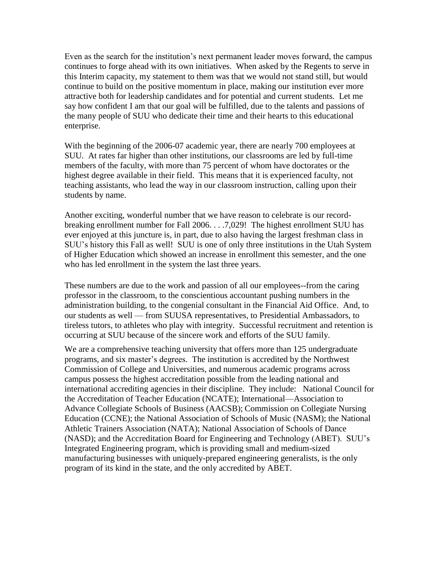Even as the search for the institution's next permanent leader moves forward, the campus continues to forge ahead with its own initiatives. When asked by the Regents to serve in this Interim capacity, my statement to them was that we would not stand still, but would continue to build on the positive momentum in place, making our institution ever more attractive both for leadership candidates and for potential and current students. Let me say how confident I am that our goal will be fulfilled, due to the talents and passions of the many people of SUU who dedicate their time and their hearts to this educational enterprise.

With the beginning of the 2006-07 academic year, there are nearly 700 employees at SUU. At rates far higher than other institutions, our classrooms are led by full-time members of the faculty, with more than 75 percent of whom have doctorates or the highest degree available in their field. This means that it is experienced faculty, not teaching assistants, who lead the way in our classroom instruction, calling upon their students by name.

Another exciting, wonderful number that we have reason to celebrate is our recordbreaking enrollment number for Fall 2006. . . .7,029! The highest enrollment SUU has ever enjoyed at this juncture is, in part, due to also having the largest freshman class in SUU's history this Fall as well! SUU is one of only three institutions in the Utah System of Higher Education which showed an increase in enrollment this semester, and the one who has led enrollment in the system the last three years.

These numbers are due to the work and passion of all our employees--from the caring professor in the classroom, to the conscientious accountant pushing numbers in the administration building, to the congenial consultant in the Financial Aid Office. And, to our students as well — from SUUSA representatives, to Presidential Ambassadors, to tireless tutors, to athletes who play with integrity. Successful recruitment and retention is occurring at SUU because of the sincere work and efforts of the SUU family.

We are a comprehensive teaching university that offers more than 125 undergraduate programs, and six master's degrees. The institution is accredited by the Northwest Commission of College and Universities, and numerous academic programs across campus possess the highest accreditation possible from the leading national and international accrediting agencies in their discipline. They include: National Council for the Accreditation of Teacher Education (NCATE); International—Association to Advance Collegiate Schools of Business (AACSB); Commission on Collegiate Nursing Education (CCNE); the National Association of Schools of Music (NASM); the National Athletic Trainers Association (NATA); National Association of Schools of Dance (NASD); and the Accreditation Board for Engineering and Technology (ABET). SUU's Integrated Engineering program, which is providing small and medium-sized manufacturing businesses with uniquely-prepared engineering generalists, is the only program of its kind in the state, and the only accredited by ABET.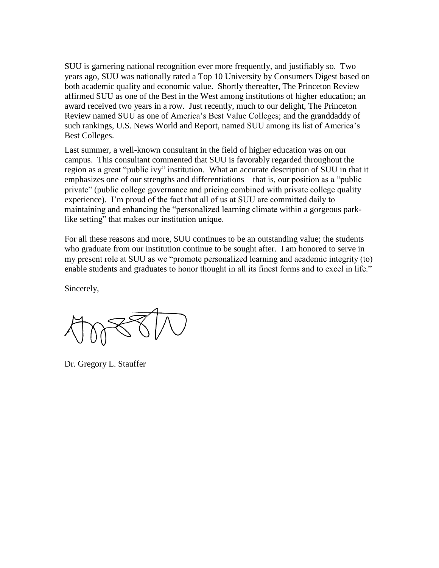SUU is garnering national recognition ever more frequently, and justifiably so. Two years ago, SUU was nationally rated a Top 10 University by Consumers Digest based on both academic quality and economic value. Shortly thereafter, The Princeton Review affirmed SUU as one of the Best in the West among institutions of higher education; an award received two years in a row. Just recently, much to our delight, The Princeton Review named SUU as one of America's Best Value Colleges; and the granddaddy of such rankings, U.S. News World and Report, named SUU among its list of America's Best Colleges.

Last summer, a well-known consultant in the field of higher education was on our campus. This consultant commented that SUU is favorably regarded throughout the region as a great "public ivy" institution. What an accurate description of SUU in that it emphasizes one of our strengths and differentiations—that is, our position as a "public private" (public college governance and pricing combined with private college quality experience). I'm proud of the fact that all of us at SUU are committed daily to maintaining and enhancing the "personalized learning climate within a gorgeous parklike setting" that makes our institution unique.

For all these reasons and more, SUU continues to be an outstanding value; the students who graduate from our institution continue to be sought after. I am honored to serve in my present role at SUU as we "promote personalized learning and academic integrity (to) enable students and graduates to honor thought in all its finest forms and to excel in life."

Sincerely,

Dr. Gregory L. Stauffer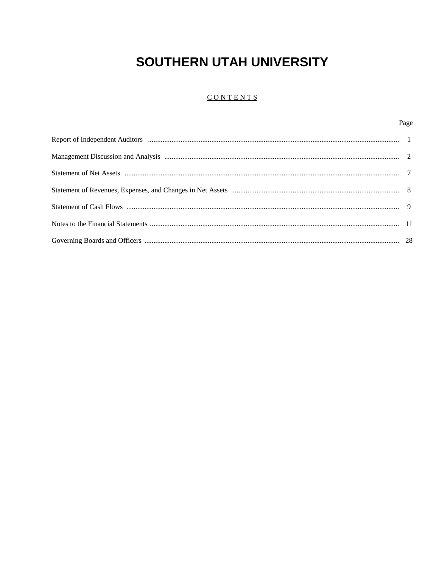### CONTENTS

| Page |
|------|
|      |
|      |
|      |
|      |
|      |
|      |
|      |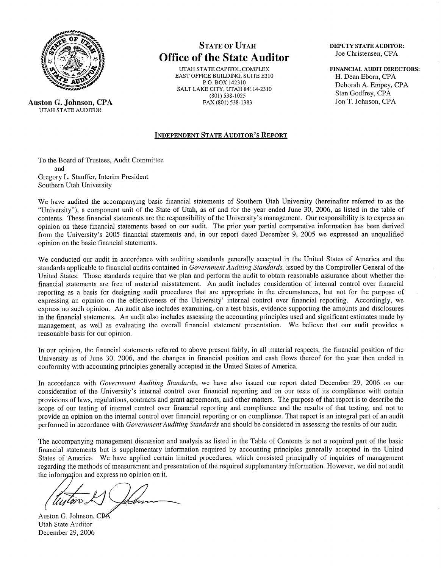

Auston G. Johnson, CPA UTAH STATE AUDITOR

## STATE OF UTAH **Office of the State Auditor**

UTAH STATE CAPITOL COMPLEX EAST OFFICE BUILDING, SUITE E3 I0 P,O, BOX 142310 SALT LAKE CITY, UTAH 84114-2310 (801) 538-1025 FAX (801) 538-1383

#### INDEPENDENT STATE AUDITOR'S REPORT

To the Board of Trustees, Audit Committee and Gregory L. Stauffer, Interim President Southern Utah University

We have audited the accompanying basic financial statements of Southern Utah University (hereinafter referred to as the "University"), a component unit of the State of Utah, as of and for the year ended June 30, 2006, as listed in the table of contents. These financial statements are the responsibility of the University's management. Our responsibility is to express an opinion on these financial statements based on our audit. The prior year partial comparative information has been derived from the University's 2005 financial statements and, in our report dated December 9, 2005 we expressed an unqualified opinion on the basic financial statements.

We conducted our audit in accordance with auditing standards generally accepted in the United States of America and the standards applicable to financial audits contained in *Government Auditing Standards*, issued by the Comptroller General of the United States. Those standards require that we plan and perform the audit to obtain reasonable assurance about whether the financial statements are free of material misstatement. An audit includes consideration of internal control over financial reporting as a basis for designing audit procedures that are appropriate in the circumstances, but not for the purpose of expressing an opinion on the effectiveness of the University' internal control over financial reporting. Accordingly, we express no such opinion, An audit also includes examining, on a test basis, evidence supporting the amounts and disclosures in the financial statements. An audit also includes assessing the accounting principles used and significant estimates made by management, as well as evaluating the overall financial statement presentation. We believe that our audit provides a reasonable basis for our opinion,

In our opinion, the financial statements referred to above present fairly, in all material respects, the financial position of the University as of June 30, 2006, and the changes in financial position and cash flows thereof for the year then ended in conformity with accounting principles generally accepted in the United States of America.

In accordance with *Government Auditing Standards,* we have also issued our report dated December 29, 2006 on our consideration of the University's internal control over financial reporting and on our tests of its compliance with certain provisions of laws, regulations, contracts and grant agreements, and other matters, The purpose of that report is to describe the scope of our testing of internal control over financial reporting and compliance and the results of that testing, and not to provide an opinion on the internal control over financial reporting or on compliance. That report is an integral part of an audit performed in accordance with *Government Auditing Standards* and should be considered in assessing the results of our audit.

The accompanying management discussion and analysis as listed in the Table of Contents is not a required part of the basic financial statements but is supplementary information required by accounting principles generally accepted in the United States of America. We have applied certain limited procedures, which consisted principally of inquiries of management regarding the methods of measurement and presentation of the required supplementary information. However, we did not audit the information and express no opinion on it.

J Suldin

Auston G. Johnson, Utah State Auditor December 29, 2006

DEPUTY STATE AUDITOR: Joe Christensen, CPA

FINANCIAL AUDIT DIRECTORS: H. Dean Eborn, CPA Deborah A, Empey, CPA Stan Godfrey, CPA Jon T. Johnson, CPA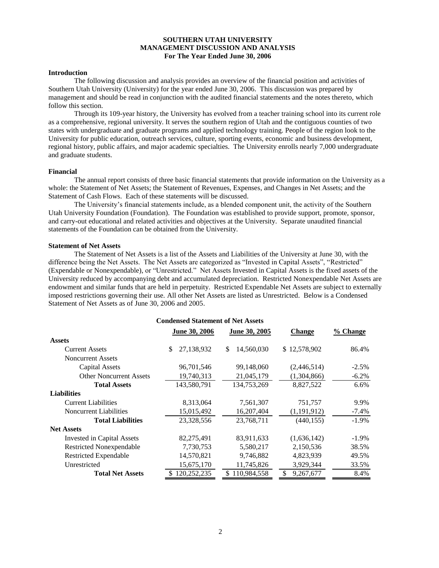#### **SOUTHERN UTAH UNIVERSITY MANAGEMENT DISCUSSION AND ANALYSIS For The Year Ended June 30, 2006**

#### **Introduction**

 The following discussion and analysis provides an overview of the financial position and activities of Southern Utah University (University) for the year ended June 30, 2006. This discussion was prepared by management and should be read in conjunction with the audited financial statements and the notes thereto, which follow this section.

 Through its 109-year history, the University has evolved from a teacher training school into its current role as a comprehensive, regional university. It serves the southern region of Utah and the contiguous counties of two states with undergraduate and graduate programs and applied technology training. People of the region look to the University for public education, outreach services, culture, sporting events, economic and business development, regional history, public affairs, and major academic specialties. The University enrolls nearly 7,000 undergraduate and graduate students.

#### **Financial**

 The annual report consists of three basic financial statements that provide information on the University as a whole: the Statement of Net Assets; the Statement of Revenues, Expenses, and Changes in Net Assets; and the Statement of Cash Flows. Each of these statements will be discussed.

 The University's financial statements include, as a blended component unit, the activity of the Southern Utah University Foundation (Foundation). The Foundation was established to provide support, promote, sponsor, and carry-out educational and related activities and objectives at the University. Separate unaudited financial statements of the Foundation can be obtained from the University.

#### **Statement of Net Assets**

The Statement of Net Assets is a list of the Assets and Liabilities of the University at June 30, with the difference being the Net Assets. The Net Assets are categorized as "Invested in Capital Assets", "Restricted" (Expendable or Nonexpendable), or "Unrestricted." Net Assets Invested in Capital Assets is the fixed assets of the University reduced by accompanying debt and accumulated depreciation. Restricted Nonexpendable Net Assets are endowment and similar funds that are held in perpetuity. Restricted Expendable Net Assets are subject to externally imposed restrictions governing their use. All other Net Assets are listed as Unrestricted.Below is a Condensed Statement of Net Assets as of June 30, 2006 and 2005.

| <b>Condensed Statement of Net Assets</b> |                  |                   |                 |          |  |  |  |  |
|------------------------------------------|------------------|-------------------|-----------------|----------|--|--|--|--|
|                                          | June 30, 2006    | June 30, 2005     | <b>Change</b>   | % Change |  |  |  |  |
| <b>Assets</b>                            |                  |                   |                 |          |  |  |  |  |
| <b>Current Assets</b>                    | \$<br>27,138,932 | \$<br>14,560,030  | \$12,578,902    | 86.4%    |  |  |  |  |
| <b>Noncurrent Assets</b>                 |                  |                   |                 |          |  |  |  |  |
| <b>Capital Assets</b>                    | 96,701,546       | 99,148,060        | (2,446,514)     | $-2.5%$  |  |  |  |  |
| <b>Other Noncurrent Assets</b>           | 19,740,313       | 21,045,179        | (1,304,866)     | $-6.2%$  |  |  |  |  |
| <b>Total Assets</b>                      | 143,580,791      | 134,753,269       | 8,827,522       | 6.6%     |  |  |  |  |
| <b>Liabilities</b>                       |                  |                   |                 |          |  |  |  |  |
| <b>Current Liabilities</b>               | 8,313,064        | 7,561,307         | 751,757         | 9.9%     |  |  |  |  |
| <b>Noncurrent Liabilities</b>            | 15,015,492       | 16,207,404        | (1, 191, 912)   | $-7.4\%$ |  |  |  |  |
| <b>Total Liabilities</b>                 | 23,328,556       | 23,768,711        | (440, 155)      | $-1.9\%$ |  |  |  |  |
| <b>Net Assets</b>                        |                  |                   |                 |          |  |  |  |  |
| Invested in Capital Assets               | 82,275,491       | 83,911,633        | (1,636,142)     | $-1.9\%$ |  |  |  |  |
| <b>Restricted Nonexpendable</b>          | 7,730,753        | 5,580,217         | 2,150,536       | 38.5%    |  |  |  |  |
| Restricted Expendable                    | 14,570,821       | 9,746,882         | 4,823,939       | 49.5%    |  |  |  |  |
| Unrestricted                             | 15,675,170       | 11,745,826        | 3,929,344       | 33.5%    |  |  |  |  |
| <b>Total Net Assets</b>                  | 120,252,235      | 110.984.558<br>S. | \$<br>9,267,677 | 8.4%     |  |  |  |  |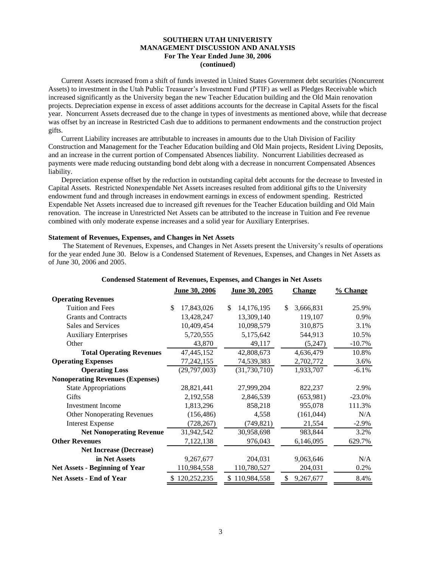#### **SOUTHERN UTAH UNIVERISTY MANAGEMENT DISCUSSION AND ANALYSIS For The Year Ended June 30, 2006 (continued)**

 Current Assets increased from a shift of funds invested in United States Government debt securities (Noncurrent Assets) to investment in the Utah Public Treasurer's Investment Fund (PTIF) as well as Pledges Receivable which increased significantly as the University began the new Teacher Education building and the Old Main renovation projects. Depreciation expense in excess of asset additions accounts for the decrease in Capital Assets for the fiscal year. Noncurrent Assets decreased due to the change in types of investments as mentioned above, while that decrease was offset by an increase in Restricted Cash due to additions to permanent endowments and the construction project gifts.

 Current Liability increases are attributable to increases in amounts due to the Utah Division of Facility Construction and Management for the Teacher Education building and Old Main projects, Resident Living Deposits, and an increase in the current portion of Compensated Absences liability. Noncurrent Liabilities decreased as payments were made reducing outstanding bond debt along with a decrease in noncurrent Compensated Absences liability.

 Depreciation expense offset by the reduction in outstanding capital debt accounts for the decrease to Invested in Capital Assets. Restricted Nonexpendable Net Assets increases resulted from additional gifts to the University endowment fund and through increases in endowment earnings in excess of endowment spending. Restricted Expendable Net Assets increased due to increased gift revenues for the Teacher Education building and Old Main renovation. The increase in Unrestricted Net Assets can be attributed to the increase in Tuition and Fee revenue combined with only moderate expense increases and a solid year for Auxiliary Enterprises.

| <b>Condensed Statement of Revenues, Expenses, and Changes in Net Assets</b> |    |               |               |               |    |               |            |  |
|-----------------------------------------------------------------------------|----|---------------|---------------|---------------|----|---------------|------------|--|
|                                                                             |    | June 30, 2006 |               | June 30, 2005 |    | <b>Change</b> | $% Change$ |  |
| <b>Operating Revenues</b>                                                   |    |               |               |               |    |               |            |  |
| Tuition and Fees                                                            | \$ | 17,843,026    | <sup>\$</sup> | 14,176,195    | S. | 3,666,831     | 25.9%      |  |
| <b>Grants and Contracts</b>                                                 |    | 13,428,247    |               | 13,309,140    |    | 119,107       | 0.9%       |  |
| Sales and Services                                                          |    | 10,409,454    |               | 10,098,579    |    | 310,875       | 3.1%       |  |
| <b>Auxiliary Enterprises</b>                                                |    | 5,720,555     |               | 5,175,642     |    | 544,913       | 10.5%      |  |
| Other                                                                       |    | 43,870        |               | 49,117        |    | (5,247)       | $-10.7%$   |  |
| <b>Total Operating Revenues</b>                                             |    | 47,445,152    |               | 42,808,673    |    | 4,636,479     | 10.8%      |  |
| <b>Operating Expenses</b>                                                   |    | 77,242,155    |               | 74,539,383    |    | 2,702,772     | 3.6%       |  |
| <b>Operating Loss</b>                                                       |    | (29,797,003)  |               | (31,730,710)  |    | 1,933,707     | $-6.1\%$   |  |
| <b>Nonoperating Revenues (Expenses)</b>                                     |    |               |               |               |    |               |            |  |
| <b>State Appropriations</b>                                                 |    | 28,821,441    |               | 27,999,204    |    | 822,237       | 2.9%       |  |
| <b>Gifts</b>                                                                |    | 2,192,558     |               | 2,846,539     |    | (653,981)     | $-23.0%$   |  |
| <b>Investment Income</b>                                                    |    | 1,813,296     |               | 858,218       |    | 955,078       | 111.3%     |  |
| <b>Other Nonoperating Revenues</b>                                          |    | (156, 486)    |               | 4,558         |    | (161, 044)    | N/A        |  |
| <b>Interest Expense</b>                                                     |    | (728, 267)    |               | (749, 821)    |    | 21,554        | $-2.9%$    |  |
| <b>Net Nonoperating Revenue</b>                                             |    | 31,942,542    |               | 30,958,698    |    | 983,844       | 3.2%       |  |
| <b>Other Revenues</b>                                                       |    | 7,122,138     |               | 976,043       |    | 6,146,095     | 629.7%     |  |
| <b>Net Increase (Decrease)</b>                                              |    |               |               |               |    |               |            |  |
| in Net Assets                                                               |    | 9,267,677     |               | 204,031       |    | 9,063,646     | N/A        |  |
| <b>Net Assets - Beginning of Year</b>                                       |    | 110,984,558   |               | 110,780,527   |    | 204,031       | 0.2%       |  |
| Net Assets - End of Year                                                    |    | \$120,252,235 |               | \$110,984,558 | \$ | 9,267,677     | 8.4%       |  |

 The Statement of Revenues, Expenses, and Changes in Net Assets present the University's results of operations for the year ended June 30. Below is a Condensed Statement of Revenues, Expenses, and Changes in Net Assets as of June 30, 2006 and 2005.

**Statement of Revenues, Expenses, and Changes in Net Assets**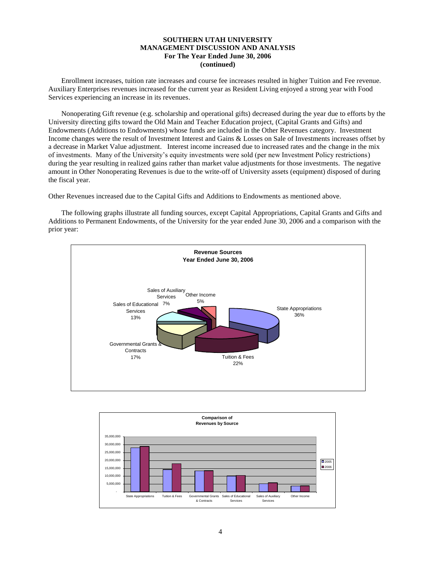#### **SOUTHERN UTAH UNIVERSITY MANAGEMENT DISCUSSION AND ANALYSIS For The Year Ended June 30, 2006 (continued)**

 Enrollment increases, tuition rate increases and course fee increases resulted in higher Tuition and Fee revenue. Auxiliary Enterprises revenues increased for the current year as Resident Living enjoyed a strong year with Food Services experiencing an increase in its revenues.

 Nonoperating Gift revenue (e.g. scholarship and operational gifts) decreased during the year due to efforts by the University directing gifts toward the Old Main and Teacher Education project, (Capital Grants and Gifts) and Endowments (Additions to Endowments) whose funds are included in the Other Revenues category. Investment Income changes were the result of Investment Interest and Gains & Losses on Sale of Investments increases offset by a decrease in Market Value adjustment. Interest income increased due to increased rates and the change in the mix of investments. Many of the University's equity investments were sold (per new Investment Policy restrictions) during the year resulting in realized gains rather than market value adjustments for those investments. The negative amount in Other Nonoperating Revenues is due to the write-off of University assets (equipment) disposed of during the fiscal year.

Other Revenues increased due to the Capital Gifts and Additions to Endowments as mentioned above.

 The following graphs illustrate all funding sources, except Capital Appropriations, Capital Grants and Gifts and Additions to Permanent Endowments, of the University for the year ended June 30, 2006 and a comparison with the prior year:



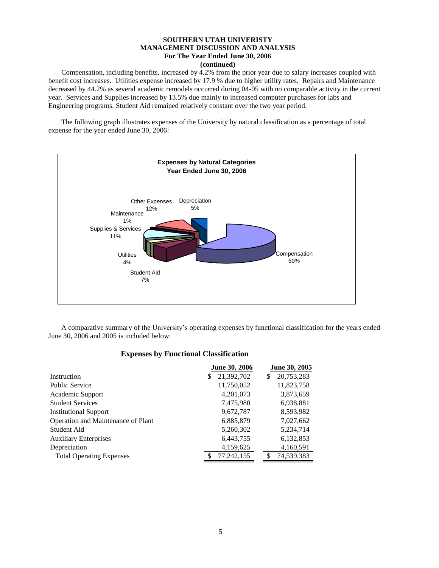#### **SOUTHERN UTAH UNIVERISTY MANAGEMENT DISCUSSION AND ANALYSIS For The Year Ended June 30, 2006 (continued)**

 Compensation, including benefits, increased by 4.2% from the prior year due to salary increases coupled with benefit cost increases. Utilities expense increased by 17.9 % due to higher utility rates. Repairs and Maintenance decreased by 44.2% as several academic remodels occurred during 04-05 with no comparable activity in the current year. Services and Supplies increased by 13.5% due mainly to increased computer purchases for labs and Engineering programs. Student Aid remained relatively constant over the two year period.

 The following graph illustrates expenses of the University by natural classification as a percentage of total expense for the year ended June 30, 2006:



 A comparative summary of the University's operating expenses by functional classification for the years ended June 30, 2006 and 2005 is included below:

#### **Expenses by Functional Classification**

|                                    | June 30, 2006    | June 30, 2005   |
|------------------------------------|------------------|-----------------|
| Instruction                        | 21,392,702<br>\$ | 20,753,283<br>S |
| <b>Public Service</b>              | 11,750,052       | 11,823,758      |
| Academic Support                   | 4,201,073        | 3,873,659       |
| <b>Student Services</b>            | 7,475,980        | 6,938,881       |
| <b>Institutional Support</b>       | 9,672,787        | 8,593,982       |
| Operation and Maintenance of Plant | 6,885,879        | 7,027,662       |
| Student Aid                        | 5,260,302        | 5,234,714       |
| <b>Auxiliary Enterprises</b>       | 6,443,755        | 6,132,853       |
| Depreciation                       | 4,159,625        | 4,160,591       |
| <b>Total Operating Expenses</b>    | 77, 242, 155     | 74,539,383      |
|                                    |                  |                 |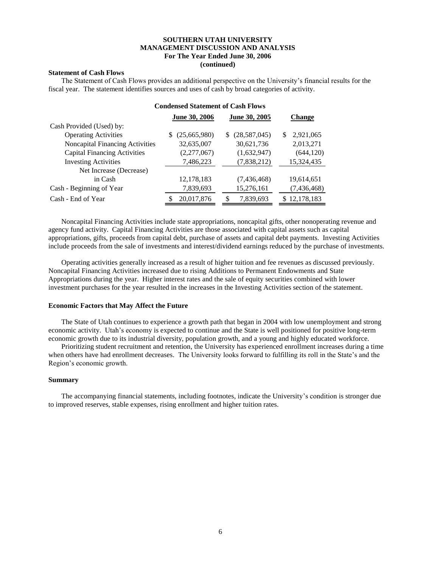#### **SOUTHERN UTAH UNIVERSITY MANAGEMENT DISCUSSION AND ANALYSIS For The Year Ended June 30, 2006 (continued)**

#### **Statement of Cash Flows**

 The Statement of Cash Flows provides an additional perspective on the University's financial results for the fiscal year. The statement identifies sources and uses of cash by broad categories of activity.

|                                     | <b>Condensed Statement of Cash Flows</b> |                      |                 |  |  |  |  |  |  |
|-------------------------------------|------------------------------------------|----------------------|-----------------|--|--|--|--|--|--|
|                                     | June 30, 2006                            | June 30, 2005        | <b>Change</b>   |  |  |  |  |  |  |
| Cash Provided (Used) by:            |                                          |                      |                 |  |  |  |  |  |  |
| <b>Operating Activities</b>         | (25,665,980)                             | (28, 587, 045)<br>S. | 2,921,065<br>\$ |  |  |  |  |  |  |
| Noncapital Financing Activities     | 32,635,007                               | 30,621,736           | 2,013,271       |  |  |  |  |  |  |
| <b>Capital Financing Activities</b> | (2,277,067)                              | (1,632,947)          | (644, 120)      |  |  |  |  |  |  |
| <b>Investing Activities</b>         | 7,486,223                                | (7,838,212)          | 15,324,435      |  |  |  |  |  |  |
| Net Increase (Decrease)             |                                          |                      |                 |  |  |  |  |  |  |
| in Cash                             | 12,178,183                               | (7,436,468)          | 19,614,651      |  |  |  |  |  |  |
| Cash - Beginning of Year            | 7,839,693                                | 15,276,161           | (7, 436, 468)   |  |  |  |  |  |  |
| Cash - End of Year                  | 20,017,876                               | \$.<br>7,839,693     | \$12,178,183    |  |  |  |  |  |  |

 Noncapital Financing Activities include state appropriations, noncapital gifts, other nonoperating revenue and agency fund activity. Capital Financing Activities are those associated with capital assets such as capital appropriations, gifts, proceeds from capital debt, purchase of assets and capital debt payments. Investing Activities include proceeds from the sale of investments and interest/dividend earnings reduced by the purchase of investments.

 Operating activities generally increased as a result of higher tuition and fee revenues as discussed previously. Noncapital Financing Activities increased due to rising Additions to Permanent Endowments and State Appropriations during the year. Higher interest rates and the sale of equity securities combined with lower investment purchases for the year resulted in the increases in the Investing Activities section of the statement.

#### **Economic Factors that May Affect the Future**

 The State of Utah continues to experience a growth path that began in 2004 with low unemployment and strong economic activity. Utah's economy is expected to continue and the State is well positioned for positive long-term economic growth due to its industrial diversity, population growth, and a young and highly educated workforce.

 Prioritizing student recruitment and retention, the University has experienced enrollment increases during a time when others have had enrollment decreases. The University looks forward to fulfilling its roll in the State's and the Region's economic growth.

#### **Summary**

 The accompanying financial statements, including footnotes, indicate the University's condition is stronger due to improved reserves, stable expenses, rising enrollment and higher tuition rates.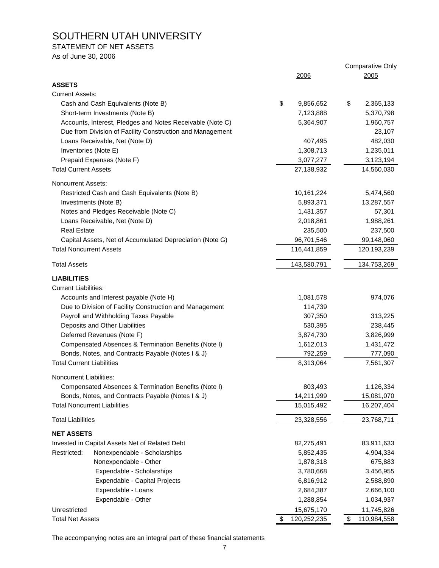#### STATEMENT OF NET ASSETS

As of June 30, 2006

|                                     |                                                           |                   | <b>Comparative Only</b> |
|-------------------------------------|-----------------------------------------------------------|-------------------|-------------------------|
|                                     |                                                           | 2006              | 2005                    |
| <b>ASSETS</b>                       |                                                           |                   |                         |
| <b>Current Assets:</b>              |                                                           |                   |                         |
|                                     | Cash and Cash Equivalents (Note B)                        | \$<br>9,856,652   | \$<br>2,365,133         |
|                                     | Short-term Investments (Note B)                           | 7,123,888         | 5,370,798               |
|                                     | Accounts, Interest, Pledges and Notes Receivable (Note C) | 5,364,907         | 1,960,757               |
|                                     | Due from Division of Facility Construction and Management |                   | 23,107                  |
|                                     | Loans Receivable, Net (Note D)                            | 407,495           | 482,030                 |
| Inventories (Note E)                |                                                           | 1,308,713         | 1,235,011               |
|                                     | Prepaid Expenses (Note F)                                 | 3,077,277         | 3,123,194               |
| <b>Total Current Assets</b>         |                                                           | 27,138,932        | 14,560,030              |
| <b>Noncurrent Assets:</b>           |                                                           |                   |                         |
|                                     | Restricted Cash and Cash Equivalents (Note B)             | 10,161,224        | 5,474,560               |
|                                     | Investments (Note B)                                      | 5,893,371         | 13,287,557              |
|                                     | Notes and Pledges Receivable (Note C)                     | 1,431,357         | 57,301                  |
|                                     | Loans Receivable, Net (Note D)                            | 2,018,861         | 1,988,261               |
| <b>Real Estate</b>                  |                                                           | 235,500           | 237,500                 |
|                                     | Capital Assets, Net of Accumulated Depreciation (Note G)  | 96,701,546        | 99,148,060              |
| <b>Total Noncurrent Assets</b>      |                                                           | 116,441,859       | 120, 193, 239           |
| <b>Total Assets</b>                 |                                                           | 143,580,791       | 134,753,269             |
| <b>LIABILITIES</b>                  |                                                           |                   |                         |
| <b>Current Liabilities:</b>         |                                                           |                   |                         |
|                                     | Accounts and Interest payable (Note H)                    | 1,081,578         | 974,076                 |
|                                     | Due to Division of Facility Construction and Management   | 114,739           |                         |
|                                     | Payroll and Withholding Taxes Payable                     | 307,350           | 313,225                 |
|                                     | Deposits and Other Liabilities                            | 530,395           | 238,445                 |
|                                     | Deferred Revenues (Note F)                                | 3,874,730         | 3,826,999               |
|                                     | Compensated Absences & Termination Benefits (Note I)      | 1,612,013         | 1,431,472               |
|                                     | Bonds, Notes, and Contracts Payable (Notes I & J)         | 792,259           | 777,090                 |
| <b>Total Current Liabilities</b>    |                                                           | 8,313,064         | 7,561,307               |
| <b>Noncurrent Liabilities:</b>      |                                                           |                   |                         |
|                                     | Compensated Absences & Termination Benefits (Note I)      | 803,493           | 1,126,334               |
|                                     | Bonds, Notes, and Contracts Payable (Notes I & J)         | 14,211,999        | 15,081,070              |
| <b>Total Noncurrent Liabilities</b> |                                                           | 15,015,492        | 16,207,404              |
| <b>Total Liabilities</b>            |                                                           | 23,328,556        | 23,768,711              |
| <b>NET ASSETS</b>                   |                                                           |                   |                         |
|                                     | Invested in Capital Assets Net of Related Debt            | 82,275,491        | 83,911,633              |
| Restricted:                         | Nonexpendable - Scholarships                              | 5,852,435         | 4,904,334               |
|                                     | Nonexpendable - Other                                     | 1,878,318         | 675,883                 |
|                                     | Expendable - Scholarships                                 | 3,780,668         | 3,456,955               |
|                                     | Expendable - Capital Projects                             | 6,816,912         | 2,588,890               |
|                                     | Expendable - Loans                                        | 2,684,387         | 2,666,100               |
|                                     | Expendable - Other                                        | 1,288,854         | 1,034,937               |
| Unrestricted                        |                                                           | 15,675,170        | 11,745,826              |
| <b>Total Net Assets</b>             |                                                           | \$<br>120,252,235 | \$<br>110,984,558       |
|                                     |                                                           |                   |                         |

The accompanying notes are an integral part of these financial statements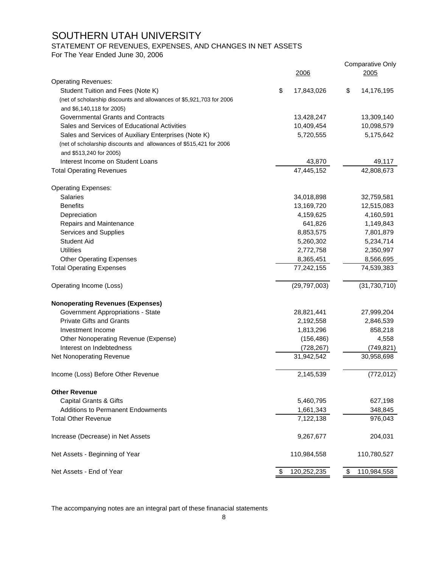## STATEMENT OF REVENUES, EXPENSES, AND CHANGES IN NET ASSETS

For The Year Ended June 30, 2006

|                                                                      |                   | <b>Comparative Only</b> |
|----------------------------------------------------------------------|-------------------|-------------------------|
|                                                                      | 2006              | 2005                    |
| <b>Operating Revenues:</b>                                           |                   |                         |
| Student Tuition and Fees (Note K)                                    | \$<br>17,843,026  | \$<br>14,176,195        |
| (net of scholarship discounts and allowances of \$5,921,703 for 2006 |                   |                         |
| and \$6,140,118 for 2005)                                            |                   |                         |
| Governmental Grants and Contracts                                    | 13,428,247        | 13,309,140              |
| Sales and Services of Educational Activities                         | 10,409,454        | 10,098,579              |
| Sales and Services of Auxiliary Enterprises (Note K)                 | 5,720,555         | 5,175,642               |
| (net of scholarship discounts and allowances of \$515,421 for 2006   |                   |                         |
| and \$513,240 for 2005)                                              |                   |                         |
| Interest Income on Student Loans                                     | 43,870            | 49,117                  |
| <b>Total Operating Revenues</b>                                      | 47,445,152        | 42,808,673              |
| <b>Operating Expenses:</b>                                           |                   |                         |
| <b>Salaries</b>                                                      | 34,018,898        | 32,759,581              |
| <b>Benefits</b>                                                      | 13,169,720        | 12,515,083              |
| Depreciation                                                         | 4,159,625         | 4,160,591               |
|                                                                      |                   | 1,149,843               |
| Repairs and Maintenance<br>Services and Supplies                     | 641,826           |                         |
| <b>Student Aid</b>                                                   | 8,853,575         | 7,801,879               |
|                                                                      | 5,260,302         | 5,234,714               |
| <b>Utilities</b>                                                     | 2,772,758         | 2,350,997               |
| <b>Other Operating Expenses</b>                                      | 8,365,451         | 8,566,695               |
| <b>Total Operating Expenses</b>                                      | 77,242,155        | 74,539,383              |
| Operating Income (Loss)                                              | (29, 797, 003)    | (31,730,710)            |
| <b>Nonoperating Revenues (Expenses)</b>                              |                   |                         |
| Government Appropriations - State                                    | 28,821,441        | 27,999,204              |
| <b>Private Gifts and Grants</b>                                      | 2,192,558         | 2,846,539               |
| Investment Income                                                    | 1,813,296         | 858,218                 |
| Other Nonoperating Revenue (Expense)                                 | (156, 486)        | 4,558                   |
| Interest on Indebtedness                                             | (728, 267)        | (749, 821)              |
| Net Nonoperating Revenue                                             | 31,942,542        | 30,958,698              |
| Income (Loss) Before Other Revenue                                   | 2,145,539         | (772, 012)              |
| <b>Other Revenue</b>                                                 |                   |                         |
| Capital Grants & Gifts                                               | 5,460,795         | 627,198                 |
| <b>Additions to Permanent Endowments</b>                             | 1,661,343         | 348,845                 |
| <b>Total Other Revenue</b>                                           | 7,122,138         | 976,043                 |
| Increase (Decrease) in Net Assets                                    | 9,267,677         | 204,031                 |
| Net Assets - Beginning of Year                                       | 110,984,558       | 110,780,527             |
| Net Assets - End of Year                                             | \$<br>120,252,235 | \$<br>110,984,558       |

The accompanying notes are an integral part of these finanacial statements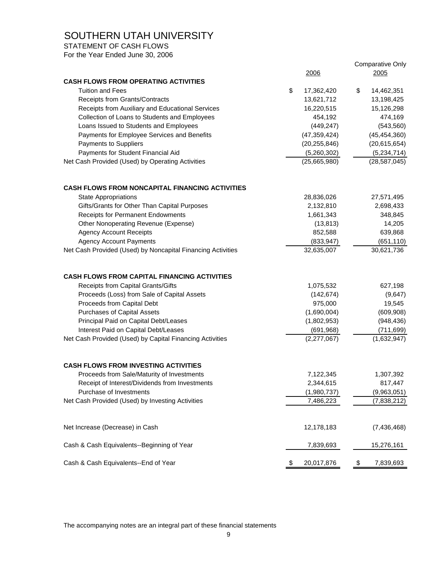STATEMENT OF CASH FLOWS

For the Year Ended June 30, 2006

|                                                             |                  | <b>Comparative Only</b> |
|-------------------------------------------------------------|------------------|-------------------------|
|                                                             | 2006             | 2005                    |
| <b>CASH FLOWS FROM OPERATING ACTIVITIES</b>                 |                  |                         |
| <b>Tuition and Fees</b>                                     | \$<br>17,362,420 | \$<br>14,462,351        |
| Receipts from Grants/Contracts                              | 13,621,712       | 13,198,425              |
| Receipts from Auxiliary and Educational Services            | 16,220,515       | 15,126,298              |
| Collection of Loans to Students and Employees               | 454,192          | 474,169                 |
| Loans Issued to Students and Employees                      | (449, 247)       | (543, 560)              |
| Payments for Employee Services and Benefits                 | (47, 359, 424)   | (45, 454, 360)          |
| Payments to Suppliers                                       | (20, 255, 846)   | (20, 615, 654)          |
| Payments for Student Financial Aid                          | (5,260,302)      | (5,234,714)             |
| Net Cash Provided (Used) by Operating Activities            | (25,665,980)     | (28, 587, 045)          |
| <b>CASH FLOWS FROM NONCAPITAL FINANCING ACTIVITIES</b>      |                  |                         |
| <b>State Appropriations</b>                                 | 28,836,026       | 27,571,495              |
| Gifts/Grants for Other Than Capital Purposes                | 2,132,810        | 2,698,433               |
| Receipts for Permanent Endowments                           | 1,661,343        | 348,845                 |
| Other Nonoperating Revenue (Expense)                        | (13, 813)        | 14,205                  |
| <b>Agency Account Receipts</b>                              | 852,588          | 639,868                 |
| <b>Agency Account Payments</b>                              | (833, 947)       | (651, 110)              |
| Net Cash Provided (Used) by Noncapital Financing Activities | 32,635,007       | 30,621,736              |
| <b>CASH FLOWS FROM CAPITAL FINANCING ACTIVITIES</b>         |                  |                         |
| Receipts from Capital Grants/Gifts                          | 1,075,532        | 627,198                 |
| Proceeds (Loss) from Sale of Capital Assets                 | (142, 674)       | (9,647)                 |
| Proceeds from Capital Debt                                  | 975,000          | 19,545                  |
| <b>Purchases of Capital Assets</b>                          | (1,690,004)      | (609, 908)              |
| Principal Paid on Capital Debt/Leases                       | (1,802,953)      | (948, 436)              |
| Interest Paid on Capital Debt/Leases                        | (691, 968)       | (711, 699)              |
| Net Cash Provided (Used) by Capital Financing Activities    | (2,277,067)      | (1,632,947)             |
|                                                             |                  |                         |
| <b>CASH FLOWS FROM INVESTING ACTIVITIES</b>                 |                  |                         |
| Proceeds from Sale/Maturity of Investments                  | 7,122,345        | 1,307,392               |
| Receipt of Interest/Dividends from Investments              | 2,344,615        | 817,447                 |
| Purchase of Investments                                     | (1,980,737)      | (9,963,051)             |
| Net Cash Provided (Used) by Investing Activities            | 7,486,223        | (7,838,212)             |
| Net Increase (Decrease) in Cash                             | 12,178,183       | (7, 436, 468)           |
| Cash & Cash Equivalents--Beginning of Year                  | 7,839,693        | 15,276,161              |
| Cash & Cash Equivalents--End of Year                        | \$<br>20,017,876 | \$<br>7,839,693         |

The accompanying notes are an integral part of these financial statements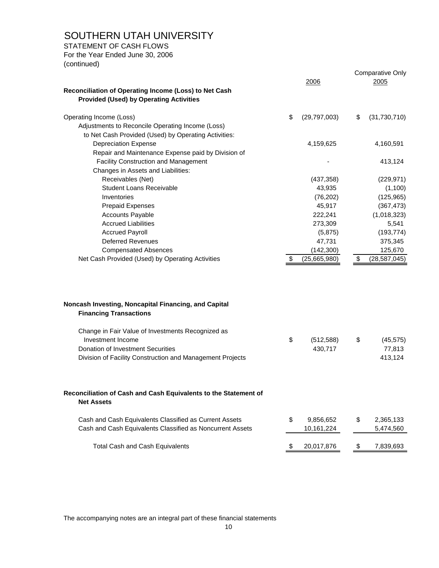STATEMENT OF CASH FLOWS

For the Year Ended June 30, 2006 (continued)

|                                                                                                          |    | 2006                       | <b>Comparative Only</b><br>2005 |
|----------------------------------------------------------------------------------------------------------|----|----------------------------|---------------------------------|
| Reconciliation of Operating Income (Loss) to Net Cash<br><b>Provided (Used) by Operating Activities</b>  |    |                            |                                 |
| Operating Income (Loss)                                                                                  | \$ | (29, 797, 003)             | \$<br>(31,730,710)              |
| Adjustments to Reconcile Operating Income (Loss)<br>to Net Cash Provided (Used) by Operating Activities: |    |                            |                                 |
| <b>Depreciation Expense</b>                                                                              |    | 4,159,625                  | 4,160,591                       |
| Repair and Maintenance Expense paid by Division of                                                       |    |                            |                                 |
| <b>Facility Construction and Management</b>                                                              |    |                            | 413,124                         |
| Changes in Assets and Liabilities:                                                                       |    |                            |                                 |
| Receivables (Net)                                                                                        |    | (437, 358)                 | (229, 971)                      |
| <b>Student Loans Receivable</b>                                                                          |    | 43,935                     | (1, 100)                        |
| Inventories                                                                                              |    | (76, 202)                  | (125, 965)                      |
| <b>Prepaid Expenses</b>                                                                                  |    | 45,917                     | (367, 473)                      |
| <b>Accounts Payable</b>                                                                                  |    | 222,241                    | (1,018,323)                     |
| <b>Accrued Liabilities</b>                                                                               |    | 273,309                    | 5,541                           |
| <b>Accrued Payroll</b>                                                                                   |    | (5,875)                    | (193, 774)                      |
| <b>Deferred Revenues</b>                                                                                 |    | 47,731                     | 375,345                         |
| <b>Compensated Absences</b><br>Net Cash Provided (Used) by Operating Activities                          | S  | (142, 300)<br>(25,665,980) | \$<br>125,670<br>(28, 587, 045) |
|                                                                                                          |    |                            |                                 |
| Noncash Investing, Noncapital Financing, and Capital<br><b>Financing Transactions</b>                    |    |                            |                                 |
| Change in Fair Value of Investments Recognized as                                                        |    |                            |                                 |
| Investment Income                                                                                        | \$ | (512, 588)                 | \$<br>(45, 575)                 |
| Donation of Investment Securities                                                                        |    | 430,717                    | 77,813                          |
| Division of Facility Construction and Management Projects                                                |    |                            | 413,124                         |
| Reconciliation of Cash and Cash Equivalents to the Statement of                                          |    |                            |                                 |
| <b>Net Assets</b>                                                                                        |    |                            |                                 |
| Cash and Cash Equivalents Classified as Current Assets                                                   | \$ | 9,856,652                  | \$<br>2,365,133                 |
| Cash and Cash Equivalents Classified as Noncurrent Assets                                                |    | 10,161,224                 | 5,474,560                       |
| <b>Total Cash and Cash Equivalents</b>                                                                   |    | 20,017,876                 | \$<br>7,839,693                 |

The accompanying notes are an integral part of these financial statements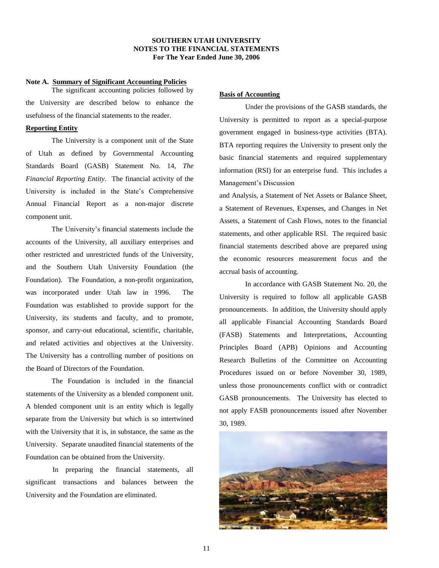#### **Note A. Summary of Significant Accounting Policies**

 The significant accounting policies followed by the University are described below to enhance the usefulness of the financial statements to the reader.

#### **Reporting Entity**

 The University is a component unit of the State of Utah as defined by Governmental Accounting Standards Board (GASB) Statement No. 14, *The Financial Reporting Entity.* The financial activity of the University is included in the State's Comprehensive Annual Financial Report as a non-major discrete component unit.

 The University's financial statements include the accounts of the University, all auxiliary enterprises and other restricted and unrestricted funds of the University, and the Southern Utah University Foundation (the Foundation). The Foundation, a non-profit organization, was incorporated under Utah law in 1996. The Foundation was established to provide support for the University, its students and faculty, and to promote, sponsor, and carry-out educational, scientific, charitable, and related activities and objectives at the University. The University has a controlling number of positions on the Board of Directors of the Foundation.

 The Foundation is included in the financial statements of the University as a blended component unit. A blended component unit is an entity which is legally separate from the University but which is so intertwined with the University that it is, in substance, the same as the University. Separate unaudited financial statements of the Foundation can be obtained from the University.

 In preparing the financial statements, all significant transactions and balances between the University and the Foundation are eliminated.

#### **Basis of Accounting**

 Under the provisions of the GASB standards, the University is permitted to report as a special-purpose government engaged in business-type activities (BTA). BTA reporting requires the University to present only the basic financial statements and required supplementary information (RSI) for an enterprise fund. This includes a Management's Discussion

and Analysis, a Statement of Net Assets or Balance Sheet, a Statement of Revenues, Expenses, and Changes in Net Assets, a Statement of Cash Flows, notes to the financial statements, and other applicable RSI. The required basic financial statements described above are prepared using the economic resources measurement focus and the accrual basis of accounting.

 In accordance with GASB Statement No. 20, the University is required to follow all applicable GASB pronouncements. In addition, the University should apply all applicable Financial Accounting Standards Board (FASB) Statements and Interpretations, Accounting Principles Board (APB) Opinions and Accounting Research Bulletins of the Committee on Accounting Procedures issued on or before November 30, 1989, unless those pronouncements conflict with or contradict GASB pronouncements. The University has elected to not apply FASB pronouncements issued after November 30, 1989.

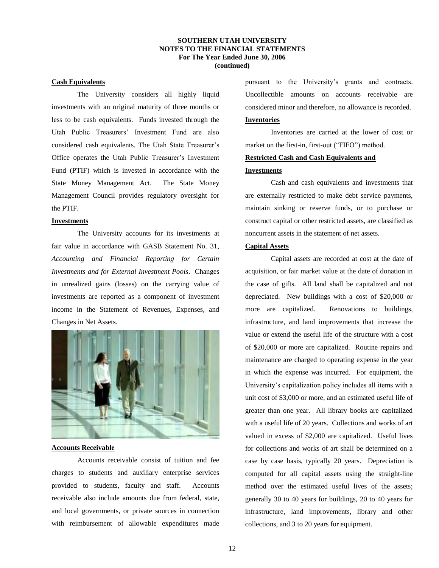#### **Cash Equivalents**

 The University considers all highly liquid investments with an original maturity of three months or less to be cash equivalents. Funds invested through the Utah Public Treasurers' Investment Fund are also considered cash equivalents. The Utah State Treasurer's Office operates the Utah Public Treasurer's Investment Fund (PTIF) which is invested in accordance with the State Money Management Act. The State Money Management Council provides regulatory oversight for the PTIF.

#### **Investments**

 The University accounts for its investments at fair value in accordance with GASB Statement No. 31, *Accounting and Financial Reporting for Certain Investments and for External Investment Pools*. Changes in unrealized gains (losses) on the carrying value of investments are reported as a component of investment income in the Statement of Revenues, Expenses, and Changes in Net Assets.



#### **Accounts Receivable**

 Accounts receivable consist of tuition and fee charges to students and auxiliary enterprise services provided to students, faculty and staff. Accounts receivable also include amounts due from federal, state, and local governments, or private sources in connection with reimbursement of allowable expenditures made

pursuant to the University's grants and contracts. Uncollectible amounts on accounts receivable are considered minor and therefore, no allowance is recorded.

#### **Inventories**

 Inventories are carried at the lower of cost or market on the first-in, first-out ("FIFO") method.

## **Restricted Cash and Cash Equivalents and Investments**

 Cash and cash equivalents and investments that are externally restricted to make debt service payments, maintain sinking or reserve funds, or to purchase or construct capital or other restricted assets, are classified as noncurrent assets in the statement of net assets.

#### **Capital Assets**

 Capital assets are recorded at cost at the date of acquisition, or fair market value at the date of donation in the case of gifts. All land shall be capitalized and not depreciated. New buildings with a cost of \$20,000 or more are capitalized. Renovations to buildings, infrastructure, and land improvements that increase the value or extend the useful life of the structure with a cost of \$20,000 or more are capitalized. Routine repairs and maintenance are charged to operating expense in the year in which the expense was incurred. For equipment, the University's capitalization policy includes all items with a unit cost of \$3,000 or more, and an estimated useful life of greater than one year. All library books are capitalized with a useful life of 20 years. Collections and works of art valued in excess of \$2,000 are capitalized. Useful lives for collections and works of art shall be determined on a case by case basis, typically 20 years. Depreciation is computed for all capital assets using the straight-line method over the estimated useful lives of the assets; generally 30 to 40 years for buildings, 20 to 40 years for infrastructure, land improvements, library and other collections, and 3 to 20 years for equipment.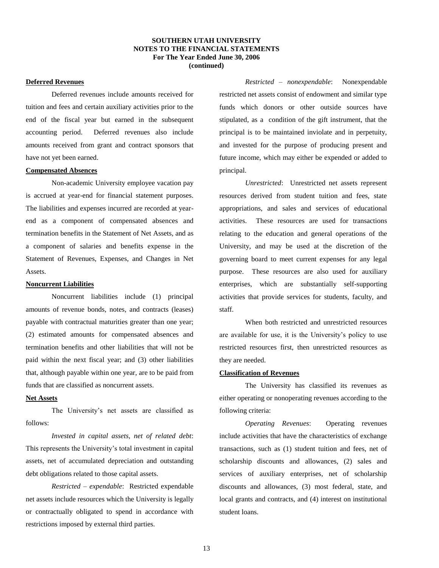#### **Deferred Revenues**

 Deferred revenues include amounts received for tuition and fees and certain auxiliary activities prior to the end of the fiscal year but earned in the subsequent accounting period. Deferred revenues also include amounts received from grant and contract sponsors that have not yet been earned.

#### **Compensated Absences**

 Non-academic University employee vacation pay is accrued at year-end for financial statement purposes. The liabilities and expenses incurred are recorded at yearend as a component of compensated absences and termination benefits in the Statement of Net Assets, and as a component of salaries and benefits expense in the Statement of Revenues, Expenses, and Changes in Net Assets.

#### **Noncurrent Liabilities**

 Noncurrent liabilities include (1) principal amounts of revenue bonds, notes, and contracts (leases) payable with contractual maturities greater than one year; (2) estimated amounts for compensated absences and termination benefits and other liabilities that will not be paid within the next fiscal year; and (3) other liabilities that, although payable within one year, are to be paid from funds that are classified as noncurrent assets.

#### **Net Assets**

The University's net assets are classified as follows:

 *Invested in capital assets, net of related debt*: This represents the University's total investment in capital assets, net of accumulated depreciation and outstanding debt obligations related to those capital assets.

 *Restricted – expendable*: Restricted expendable net assets include resources which the University is legally or contractually obligated to spend in accordance with restrictions imposed by external third parties.

 *Restricted – nonexpendable*: Nonexpendable restricted net assets consist of endowment and similar type funds which donors or other outside sources have stipulated, as a condition of the gift instrument, that the principal is to be maintained inviolate and in perpetuity, and invested for the purpose of producing present and future income, which may either be expended or added to principal.

 *Unrestricted*: Unrestricted net assets represent resources derived from student tuition and fees, state appropriations, and sales and services of educational activities. These resources are used for transactions relating to the education and general operations of the University, and may be used at the discretion of the governing board to meet current expenses for any legal purpose. These resources are also used for auxiliary enterprises, which are substantially self-supporting activities that provide services for students, faculty, and staff.

 When both restricted and unrestricted resources are available for use, it is the University's policy to use restricted resources first, then unrestricted resources as they are needed.

#### **Classification of Revenues**

 The University has classified its revenues as either operating or nonoperating revenues according to the following criteria:

 *Operating Revenues*: Operating revenues include activities that have the characteristics of exchange transactions, such as (1) student tuition and fees, net of scholarship discounts and allowances, (2) sales and services of auxiliary enterprises, net of scholarship discounts and allowances, (3) most federal, state, and local grants and contracts, and (4) interest on institutional student loans.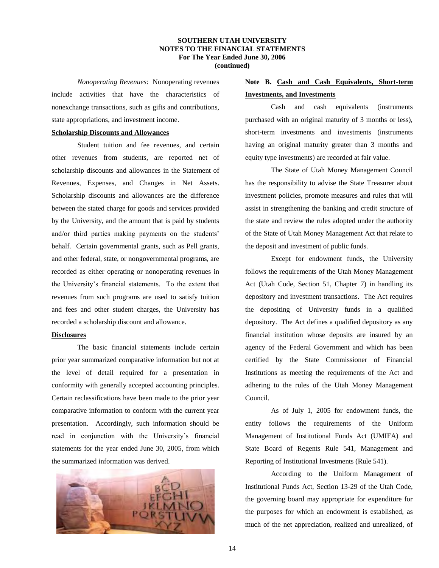*Nonoperating Revenues*: Nonoperating revenues include activities that have the characteristics of nonexchange transactions, such as gifts and contributions, state appropriations, and investment income.

#### **Scholarship Discounts and Allowances**

 Student tuition and fee revenues, and certain other revenues from students, are reported net of scholarship discounts and allowances in the Statement of Revenues, Expenses, and Changes in Net Assets. Scholarship discounts and allowances are the difference between the stated charge for goods and services provided by the University, and the amount that is paid by students and/or third parties making payments on the students' behalf. Certain governmental grants, such as Pell grants, and other federal, state, or nongovernmental programs, are recorded as either operating or nonoperating revenues in the University's financial statements. To the extent that revenues from such programs are used to satisfy tuition and fees and other student charges, the University has recorded a scholarship discount and allowance.

#### **Disclosures**

 The basic financial statements include certain prior year summarized comparative information but not at the level of detail required for a presentation in conformity with generally accepted accounting principles. Certain reclassifications have been made to the prior year comparative information to conform with the current year presentation. Accordingly, such information should be read in conjunction with the University's financial statements for the year ended June 30, 2005, from which the summarized information was derived.



## **Note B. Cash and Cash Equivalents, Short-term Investments, and Investments**

 Cash and cash equivalents (instruments purchased with an original maturity of 3 months or less), short-term investments and investments (instruments having an original maturity greater than 3 months and equity type investments) are recorded at fair value.

 The State of Utah Money Management Council has the responsibility to advise the State Treasurer about investment policies, promote measures and rules that will assist in strengthening the banking and credit structure of the state and review the rules adopted under the authority of the State of Utah Money Management Act that relate to the deposit and investment of public funds.

 Except for endowment funds, the University follows the requirements of the Utah Money Management Act (Utah Code, Section 51, Chapter 7) in handling its depository and investment transactions. The Act requires the depositing of University funds in a qualified depository. The Act defines a qualified depository as any financial institution whose deposits are insured by an agency of the Federal Government and which has been certified by the State Commissioner of Financial Institutions as meeting the requirements of the Act and adhering to the rules of the Utah Money Management Council.

 As of July 1, 2005 for endowment funds, the entity follows the requirements of the Uniform Management of Institutional Funds Act (UMIFA) and State Board of Regents Rule 541, Management and Reporting of Institutional Investments (Rule 541).

 According to the Uniform Management of Institutional Funds Act, Section 13-29 of the Utah Code, the governing board may appropriate for expenditure for the purposes for which an endowment is established, as much of the net appreciation, realized and unrealized, of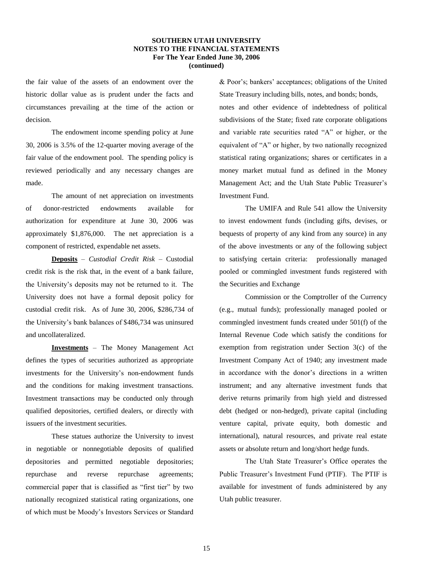the fair value of the assets of an endowment over the historic dollar value as is prudent under the facts and circumstances prevailing at the time of the action or decision.

 The endowment income spending policy at June 30, 2006 is 3.5% of the 12-quarter moving average of the fair value of the endowment pool. The spending policy is reviewed periodically and any necessary changes are made.

 The amount of net appreciation on investments of donor-restricted endowments available for authorization for expenditure at June 30, 2006 was approximately \$1,876,000. The net appreciation is a component of restricted, expendable net assets.

 **Deposits** *– Custodial Credit Risk* – Custodial credit risk is the risk that, in the event of a bank failure, the University's deposits may not be returned to it. The University does not have a formal deposit policy for custodial credit risk. As of June 30, 2006, \$286,734 of the University's bank balances of \$486,734 was uninsured and uncollateralized.

 **Investments** – The Money Management Act defines the types of securities authorized as appropriate investments for the University's non-endowment funds and the conditions for making investment transactions. Investment transactions may be conducted only through qualified depositories, certified dealers, or directly with issuers of the investment securities.

 These statues authorize the University to invest in negotiable or nonnegotiable deposits of qualified depositories and permitted negotiable depositories; repurchase and reverse repurchase agreements; commercial paper that is classified as "first tier" by two nationally recognized statistical rating organizations, one of which must be Moody's Investors Services or Standard & Poor's; bankers' acceptances; obligations of the United State Treasury including bills, notes, and bonds; bonds, notes and other evidence of indebtedness of political subdivisions of the State; fixed rate corporate obligations and variable rate securities rated "A" or higher, or the equivalent of "A" or higher, by two nationally recognized statistical rating organizations; shares or certificates in a money market mutual fund as defined in the Money Management Act; and the Utah State Public Treasurer's Investment Fund.

 The UMIFA and Rule 541 allow the University to invest endowment funds (including gifts, devises, or bequests of property of any kind from any source) in any of the above investments or any of the following subject to satisfying certain criteria: professionally managed pooled or commingled investment funds registered with the Securities and Exchange

 Commission or the Comptroller of the Currency (e.g., mutual funds); professionally managed pooled or commingled investment funds created under 501(f) of the Internal Revenue Code which satisfy the conditions for exemption from registration under Section 3(c) of the Investment Company Act of 1940; any investment made in accordance with the donor's directions in a written instrument; and any alternative investment funds that derive returns primarily from high yield and distressed debt (hedged or non-hedged), private capital (including venture capital, private equity, both domestic and international), natural resources, and private real estate assets or absolute return and long/short hedge funds.

The Utah State Treasurer's Office operates the Public Treasurer's Investment Fund (PTIF). The PTIF is available for investment of funds administered by any Utah public treasurer.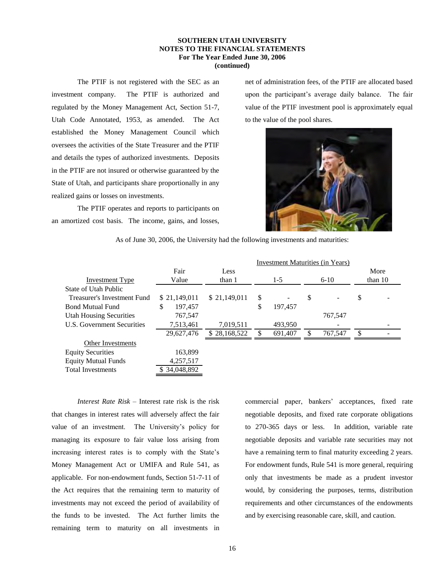The PTIF is not registered with the SEC as an investment company. The PTIF is authorized and regulated by the Money Management Act, Section 51-7, Utah Code Annotated, 1953, as amended. The Act established the Money Management Council which oversees the activities of the State Treasurer and the PTIF and details the types of authorized investments. Deposits in the PTIF are not insured or otherwise guaranteed by the State of Utah, and participants share proportionally in any realized gains or losses on investments.

 The PTIF operates and reports to participants on an amortized cost basis. The income, gains, and losses, net of administration fees, of the PTIF are allocated based upon the participant's average daily balance. The fair value of the PTIF investment pool is approximately equal to the value of the pool shares.



|                                |               |                |    | Investment Maturities (in Years) |          |                   |
|--------------------------------|---------------|----------------|----|----------------------------------|----------|-------------------|
| Investment Type                | Fair<br>Value | Less<br>than 1 |    | $1-5$                            | $6 - 10$ | More<br>than $10$ |
|                                |               |                |    |                                  |          |                   |
| <b>State of Utah Public</b>    |               |                |    |                                  |          |                   |
| Treasurer's Investment Fund    | \$21,149,011  | \$21,149,011   | S  |                                  | \$       | \$                |
| <b>Bond Mutual Fund</b>        | \$<br>197.457 |                | \$ | 197.457                          |          |                   |
| <b>Utah Housing Securities</b> | 767.547       |                |    |                                  | 767.547  |                   |
| U.S. Government Securities     | 7,513,461     | 7,019,511      |    | 493,950                          |          |                   |
|                                | 29,627,476    | \$28,168,522   |    | 691.407                          | 767.547  | \$                |
| Other Investments              |               |                |    |                                  |          |                   |
| <b>Equity Securities</b>       | 163.899       |                |    |                                  |          |                   |
| <b>Equity Mutual Funds</b>     | 4,257,517     |                |    |                                  |          |                   |
| <b>Total Investments</b>       | \$34,048,892  |                |    |                                  |          |                   |

As of June 30, 2006, the University had the following investments and maturities:

 *Interest Rate Risk* – Interest rate risk is the risk that changes in interest rates will adversely affect the fair value of an investment. The University's policy for managing its exposure to fair value loss arising from increasing interest rates is to comply with the State's Money Management Act or UMIFA and Rule 541, as applicable. For non-endowment funds, Section 51-7-11 of the Act requires that the remaining term to maturity of investments may not exceed the period of availability of the funds to be invested. The Act further limits the remaining term to maturity on all investments in

commercial paper, bankers' acceptances, fixed rate negotiable deposits, and fixed rate corporate obligations to 270-365 days or less. In addition, variable rate negotiable deposits and variable rate securities may not have a remaining term to final maturity exceeding 2 years. For endowment funds, Rule 541 is more general, requiring only that investments be made as a prudent investor would, by considering the purposes, terms, distribution requirements and other circumstances of the endowments and by exercising reasonable care, skill, and caution.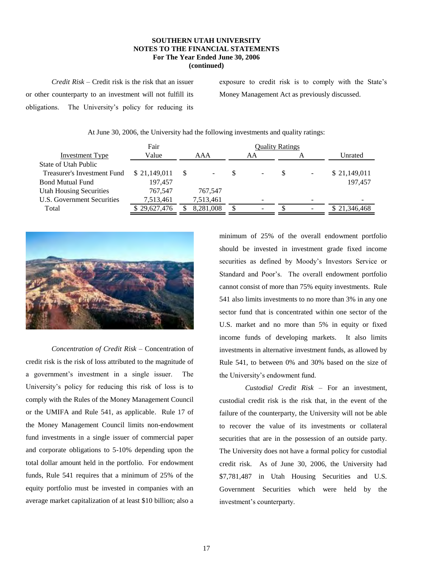*Credit Risk* – Credit risk is the risk that an issuer or other counterparty to an investment will not fulfill its obligations. The University's policy for reducing its exposure to credit risk is to comply with the State's Money Management Act as previously discussed.

|                                    | Fair         |  |                          |    | <b>Ouality Ratings</b> |   |              |
|------------------------------------|--------------|--|--------------------------|----|------------------------|---|--------------|
| Investment Type                    | Value        |  | AAA                      |    | AA                     | А | Unrated      |
| <b>State of Utah Public</b>        |              |  |                          |    |                        |   |              |
| <b>Treasurer's Investment Fund</b> | \$21,149,011 |  | $\overline{\phantom{m}}$ | S  | -                      | - | \$21,149,011 |
| <b>Bond Mutual Fund</b>            | 197.457      |  |                          |    |                        |   | 197.457      |
| <b>Utah Housing Securities</b>     | 767.547      |  | 767,547                  |    |                        |   |              |
| U.S. Government Securities         | 7,513,461    |  | 7,513,461                |    |                        | - |              |
| Total                              | \$29,627,476 |  | 8.281.008                | \$ |                        |   | \$21,346,468 |

#### At June 30, 2006, the University had the following investments and quality ratings:



 *Concentration of Credit Risk* – Concentration of credit risk is the risk of loss attributed to the magnitude of a government's investment in a single issuer. The University's policy for reducing this risk of loss is to comply with the Rules of the Money Management Council or the UMIFA and Rule 541, as applicable. Rule 17 of the Money Management Council limits non-endowment fund investments in a single issuer of commercial paper and corporate obligations to 5-10% depending upon the total dollar amount held in the portfolio. For endowment funds, Rule 541 requires that a minimum of 25% of the equity portfolio must be invested in companies with an average market capitalization of at least \$10 billion; also a

minimum of 25% of the overall endowment portfolio should be invested in investment grade fixed income securities as defined by Moody's Investors Service or Standard and Poor's. The overall endowment portfolio cannot consist of more than 75% equity investments. Rule 541 also limits investments to no more than 3% in any one sector fund that is concentrated within one sector of the U.S. market and no more than 5% in equity or fixed income funds of developing markets. It also limits investments in alternative investment funds, as allowed by Rule 541, to between 0% and 30% based on the size of the University's endowment fund.

 *Custodial Credit Risk* – For an investment, custodial credit risk is the risk that, in the event of the failure of the counterparty, the University will not be able to recover the value of its investments or collateral securities that are in the possession of an outside party. The University does not have a formal policy for custodial credit risk. As of June 30, 2006, the University had \$7,781,487 in Utah Housing Securities and U.S. Government Securities which were held by the investment's counterparty.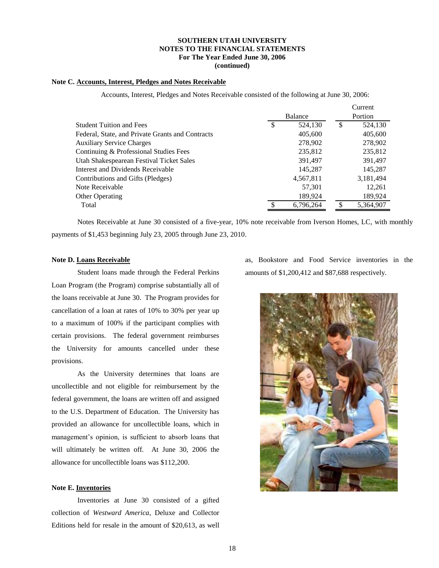#### **Note C. Accounts, Interest, Pledges and Notes Receivable**

Accounts, Interest, Pledges and Notes Receivable consisted of the following at June 30, 2006:

|                                                  |               | Current        |               |
|--------------------------------------------------|---------------|----------------|---------------|
|                                                  |               | <b>Balance</b> | Portion       |
| <b>Student Tuition and Fees</b>                  | <sup>\$</sup> | 524,130        | \$<br>524,130 |
| Federal, State, and Private Grants and Contracts |               | 405,600        | 405,600       |
| <b>Auxiliary Service Charges</b>                 |               | 278,902        | 278,902       |
| Continuing & Professional Studies Fees           |               | 235,812        | 235,812       |
| Utah Shakespearean Festival Ticket Sales         |               | 391,497        | 391,497       |
| Interest and Dividends Receivable                |               | 145,287        | 145,287       |
| Contributions and Gifts (Pledges)                |               | 4,567,811      | 3,181,494     |
| Note Receivable                                  |               | 57,301         | 12.261        |
| <b>Other Operating</b>                           |               | 189,924        | 189,924       |
| Total                                            |               | 6,796,264      | 5,364,907     |

 Notes Receivable at June 30 consisted of a five-year, 10% note receivable from Iverson Homes, LC*,* with monthly payments of \$1,453 beginning July 23, 2005 through June 23, 2010.

#### **Note D. Loans Receivable**

 Student loans made through the Federal Perkins Loan Program (the Program) comprise substantially all of the loans receivable at June 30. The Program provides for cancellation of a loan at rates of 10% to 30% per year up to a maximum of 100% if the participant complies with certain provisions. The federal government reimburses the University for amounts cancelled under these provisions.

 As the University determines that loans are uncollectible and not eligible for reimbursement by the federal government, the loans are written off and assigned to the U.S. Department of Education. The University has provided an allowance for uncollectible loans, which in management's opinion, is sufficient to absorb loans that will ultimately be written off. At June 30, 2006 the allowance for uncollectible loans was \$112,200.

#### **Note E. Inventories**

 Inventories at June 30 consisted of a gifted collection of *Westward America,* Deluxe and Collector Editions held for resale in the amount of \$20,613, as well

as, Bookstore and Food Service inventories in the amounts of \$1,200,412 and \$87,688 respectively.

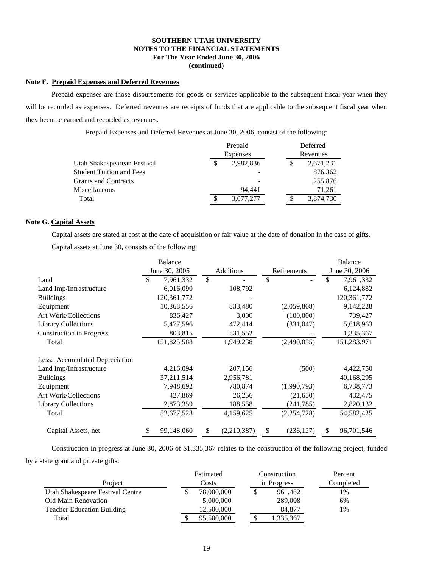#### **Note F. Prepaid Expenses and Deferred Revenues**

 Prepaid expenses are those disbursements for goods or services applicable to the subsequent fiscal year when they will be recorded as expenses. Deferred revenues are receipts of funds that are applicable to the subsequent fiscal year when they become earned and recorded as revenues.

Prepaid Expenses and Deferred Revenues at June 30, 2006, consist of the following:

|                                 | Prepaid         | Deferred |           |  |  |
|---------------------------------|-----------------|----------|-----------|--|--|
|                                 | <b>Expenses</b> |          | Revenues  |  |  |
| Utah Shakespearean Festival     | 2,982,836       |          | 2,671,231 |  |  |
| <b>Student Tuition and Fees</b> |                 |          | 876,362   |  |  |
| <b>Grants and Contracts</b>     |                 |          | 255,876   |  |  |
| Miscellaneous                   | 94.441          |          | 71,261    |  |  |
| Total                           | 3,077,277       |          | 3,874,730 |  |  |

#### **Note G. Capital Assets**

Capital assets are stated at cost at the date of acquisition or fair value at the date of donation in the case of gifts.

Capital assets at June 30, consists of the following:

|                                 | <b>Balance</b>   |                   |    |               |    | <b>Balance</b> |
|---------------------------------|------------------|-------------------|----|---------------|----|----------------|
|                                 | June 30, 2005    | Additions         |    | Retirements   |    | June 30, 2006  |
| Land                            | 7,961,332        | \$                | \$ |               |    | 7,961,332      |
| Land Imp/Infrastructure         | 6,016,090        | 108,792           |    |               |    | 6,124,882      |
| <b>Buildings</b>                | 120,361,772      |                   |    |               |    | 120,361,772    |
| Equipment                       | 10,368,556       | 833,480           |    | (2,059,808)   |    | 9,142,228      |
| <b>Art Work/Collections</b>     | 836,427          | 3,000             |    | (100,000)     |    | 739,427        |
| <b>Library Collections</b>      | 5,477,596        | 472,414           |    | (331, 047)    |    | 5,618,963      |
| <b>Construction in Progress</b> | 803,815          | 531,552           |    |               |    | 1,335,367      |
| Total                           | 151,825,588      | 1,949,238         |    | (2,490,855)   |    | 151,283,971    |
| Less: Accumulated Depreciation  |                  |                   |    |               |    |                |
| Land Imp/Infrastructure         | 4,216,094        | 207,156           |    | (500)         |    | 4,422,750      |
| <b>Buildings</b>                | 37, 211, 514     | 2,956,781         |    |               |    | 40,168,295     |
| Equipment                       | 7,948,692        | 780,874           |    | (1,990,793)   |    | 6,738,773      |
| <b>Art Work/Collections</b>     | 427,869          | 26,256            |    | (21,650)      |    | 432,475        |
| <b>Library Collections</b>      | 2,873,359        | 188,558           |    | (241, 785)    |    | 2,820,132      |
| Total                           | 52,677,528       | 4,159,625         |    | (2, 254, 728) |    | 54,582,425     |
| Capital Assets, net             | \$<br>99,148,060 | \$<br>(2,210,387) | \$ | (236, 127)    | \$ | 96,701,546     |

Construction in progress at June 30, 2006 of \$1,335,367 relates to the construction of the following project, funded by a state grant and private gifts:

|                                   | Estimated |            | Construction | Percent   |
|-----------------------------------|-----------|------------|--------------|-----------|
| Project                           | Costs     |            | in Progress  | Completed |
| Utah Shakespeare Festival Centre  |           | 78,000,000 | 961,482      | 1%        |
| Old Main Renovation               |           | 5,000,000  | 289,008      | 6%        |
| <b>Teacher Education Building</b> |           | 12,500,000 | 84.877       | 1%        |
| Total                             |           | 95,500,000 | 1,335,367    |           |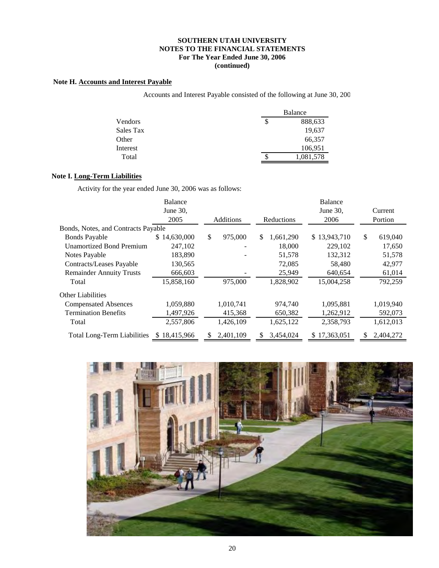#### **Note H. Accounts and Interest Payable**

Accounts and Interest Payable consisted of the following at June 30, 200

|           | Balance   |  |  |  |
|-----------|-----------|--|--|--|
| Vendors   | 888,633   |  |  |  |
| Sales Tax | 19,637    |  |  |  |
| Other     | 66,357    |  |  |  |
| Interest  | 106,951   |  |  |  |
| Total     | 1,081,578 |  |  |  |

#### **Note I. Long-Term Liabilities**

Activity for the year ended June 30, 2006 was as follows:

|                                     | <b>Balance</b> |    |           |    |            | <b>Balance</b> |    |           |  |
|-------------------------------------|----------------|----|-----------|----|------------|----------------|----|-----------|--|
|                                     | June 30,       |    |           |    |            | June 30,       |    | Current   |  |
|                                     | 2005           |    | Additions |    | Reductions | 2006           |    | Portion   |  |
| Bonds, Notes, and Contracts Payable |                |    |           |    |            |                |    |           |  |
| <b>Bonds Payable</b>                | \$14,630,000   | \$ | 975,000   | \$ | 1,661,290  | \$13,943,710   | \$ | 619,040   |  |
| <b>Unamortized Bond Premium</b>     | 247.102        |    |           |    | 18,000     | 229,102        |    | 17,650    |  |
| Notes Payable                       | 183,890        |    |           |    | 51,578     | 132,312        |    | 51,578    |  |
| Contracts/Leases Payable            | 130,565        |    |           |    | 72,085     | 58,480         |    | 42,977    |  |
| <b>Remainder Annuity Trusts</b>     | 666,603        |    |           |    | 25,949     | 640,654        |    | 61,014    |  |
| Total                               | 15,858,160     |    | 975,000   |    | 1,828,902  | 15,004,258     |    | 792,259   |  |
| <b>Other Liabilities</b>            |                |    |           |    |            |                |    |           |  |
| <b>Compensated Absences</b>         | 1,059,880      |    | 1,010,741 |    | 974,740    | 1,095,881      |    | 1,019,940 |  |
| <b>Termination Benefits</b>         | 1,497,926      |    | 415,368   |    | 650,382    | 1,262,912      |    | 592,073   |  |
| Total                               | 2,557,806      |    | 1,426,109 |    | 1,625,122  | 2,358,793      |    | 1,612,013 |  |
| <b>Total Long-Term Liabilities</b>  | \$18,415,966   | S. | 2,401,109 | S  | 3,454,024  | \$17,363,051   |    | 2,404,272 |  |

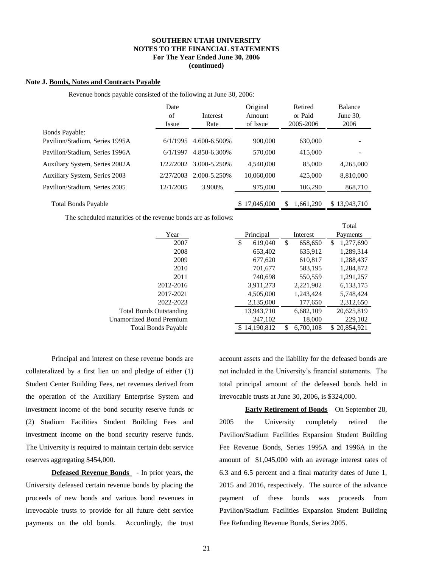#### **Note J. Bonds, Notes and Contracts Payable**

Revenue bonds payable consisted of the following at June 30, 2006:

|                                       | Date<br>of<br>Issue | Interest<br>Rate | Original<br>Amount<br>of Issue | Retired<br>or Paid<br>2005-2006 | <b>Balance</b><br>June 30,<br>2006 |
|---------------------------------------|---------------------|------------------|--------------------------------|---------------------------------|------------------------------------|
| <b>Bonds Payable:</b>                 |                     |                  |                                |                                 |                                    |
| Pavilion/Stadium, Series 1995A        | 6/1/1995            | 4.600-6.500%     | 900,000                        | 630,000                         |                                    |
| Pavilion/Stadium, Series 1996A        | 6/1/1997            | 4.850-6.300%     | 570,000                        | 415,000                         |                                    |
| <b>Auxiliary System, Series 2002A</b> | 1/22/2002           | 3.000-5.250%     | 4.540,000                      | 85,000                          | 4,265,000                          |
| Auxiliary System, Series 2003         | 2/27/2003           | 2.000-5.250%     | 10,060,000                     | 425,000                         | 8,810,000                          |
| Pavilion/Stadium, Series 2005         | 12/1/2005           | 3.900%           | 975,000                        | 106.290                         | 868,710                            |
| <b>Total Bonds Payable</b>            |                     |                  | \$17,045,000                   | \$<br>1.661.290                 | \$13,943,710                       |

The scheduled maturities of the revenue bonds are as follows:

|                                 |               |    |           |          | 1 otal       |
|---------------------------------|---------------|----|-----------|----------|--------------|
| Year                            | Principal     |    | Interest  | Payments |              |
| 2007                            | \$<br>619,040 | S. | 658,650   | \$       | 1,277,690    |
| 2008                            | 653,402       |    | 635,912   |          | 1,289,314    |
| 2009                            | 677,620       |    | 610,817   |          | 1,288,437    |
| 2010                            | 701,677       |    | 583,195   |          | 1,284,872    |
| 2011                            | 740,698       |    | 550,559   |          | 1,291,257    |
| 2012-2016                       | 3,911,273     |    | 2,221,902 |          | 6,133,175    |
| 2017-2021                       | 4,505,000     |    | 1,243,424 |          | 5,748,424    |
| 2022-2023                       | 2,135,000     |    | 177,650   |          | 2,312,650    |
| <b>Total Bonds Outstanding</b>  | 13,943,710    |    | 6,682,109 |          | 20,625,819   |
| <b>Unamortized Bond Premium</b> | 247,102       |    | 18,000    |          | 229,102      |
| <b>Total Bonds Payable</b>      | 14,190,812    | S  | 6,700,108 |          | \$20,854,921 |
|                                 |               |    |           |          |              |

 Principal and interest on these revenue bonds are collateralized by a first lien on and pledge of either (1) Student Center Building Fees, net revenues derived from the operation of the Auxiliary Enterprise System and investment income of the bond security reserve funds or (2) Stadium Facilities Student Building Fees and investment income on the bond security reserve funds. The University is required to maintain certain debt service reserves aggregating \$454,000.

**Defeased Revenue Bonds** - In prior years, the University defeased certain revenue bonds by placing the proceeds of new bonds and various bond revenues in irrevocable trusts to provide for all future debt service payments on the old bonds. Accordingly, the trust account assets and the liability for the defeased bonds are not included in the University's financial statements. The total principal amount of the defeased bonds held in irrevocable trusts at June 30, 2006, is \$324,000.

 $T_{\text{max}}$ 

**Early Retirement of Bonds** – On September 28, 2005 the University completely retired the Pavilion/Stadium Facilities Expansion Student Building Fee Revenue Bonds, Series 1995A and 1996A in the amount of \$1,045,000 with an average interest rates of 6.3 and 6.5 percent and a final maturity dates of June 1, 2015 and 2016, respectively. The source of the advance payment of these bonds was proceeds from Pavilion/Stadium Facilities Expansion Student Building Fee Refunding Revenue Bonds, Series 2005.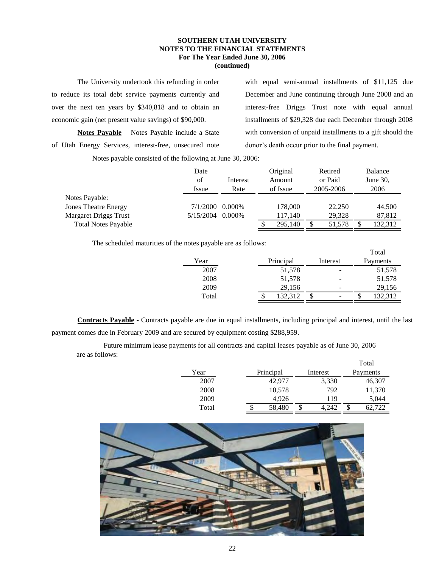The University undertook this refunding in order to reduce its total debt service payments currently and over the next ten years by \$340,818 and to obtain an economic gain (net present value savings) of \$90,000.

 **Notes Payable** – Notes Payable include a State of Utah Energy Services, interest-free, unsecured note with equal semi-annual installments of \$11,125 due December and June continuing through June 2008 and an interest-free Driggs Trust note with equal annual installments of \$29,328 due each December through 2008 with conversion of unpaid installments to a gift should the donor's death occur prior to the final payment.

Notes payable consisted of the following at June 30, 2006:

|                              | Date<br>of<br>Issue | Interest<br>Rate | Original<br>Amount<br>of Issue | Retired<br>or Paid<br>2005-2006 | Balance<br>June 30,<br>2006 |
|------------------------------|---------------------|------------------|--------------------------------|---------------------------------|-----------------------------|
| Notes Payable:               |                     |                  |                                |                                 |                             |
| <b>Jones Theatre Energy</b>  | 7/1/2000            | $0.000\%$        | 178,000                        | 22,250                          | 44,500                      |
| <b>Margaret Driggs Trust</b> | 5/15/2004           | $0.000\%$        | 117,140                        | 29.328                          | 87,812                      |
| <b>Total Notes Payable</b>   |                     |                  | 295,140                        | 51,578                          | 132,312                     |

The scheduled maturities of the notes payable are as follows:

|       |           |   |          | Total    |
|-------|-----------|---|----------|----------|
| Year  | Principal |   | Interest | Payments |
| 2007  | 51,578    |   |          | 51,578   |
| 2008  | 51,578    |   |          | 51,578   |
| 2009  | 29,156    |   |          | 29,156   |
| Total | 132,312   | S |          | 132.312  |

 **Contracts Payable** - Contracts payable are due in equal installments, including principal and interest, until the last payment comes due in February 2009 and are secured by equipment costing \$288,959.

 Future minimum lease payments for all contracts and capital leases payable as of June 30, 2006 are as follows:

|       |           |             |          |   | Total    |
|-------|-----------|-------------|----------|---|----------|
| Year  | Principal |             | Interest |   | Payments |
| 2007  | 42,977    |             | 3,330    |   | 46,307   |
| 2008  |           | 10,578      | 792      |   | 11,370   |
| 2009  |           | 4.926       | 119      |   | 5.044    |
| Total |           | 58,480<br>S | 242      | S | 52.722   |

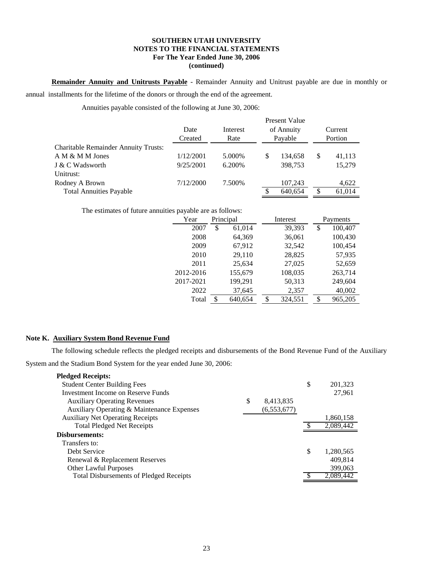**Remainder Annuity and Unitrusts Payable** - Remainder Annuity and Unitrust payable are due in monthly or annual installments for the lifetime of the donors or through the end of the agreement.

Annuities payable consisted of the following at June 30, 2006:

|                                             | Present Value    |         |     |            |   |         |  |  |
|---------------------------------------------|------------------|---------|-----|------------|---|---------|--|--|
|                                             | Date<br>Interest |         |     | of Annuity |   | Current |  |  |
|                                             | Created          | Rate    |     | Payable    |   | Portion |  |  |
| <b>Charitable Remainder Annuity Trusts:</b> |                  |         |     |            |   |         |  |  |
| A M & M M Jones                             | 1/12/2001        | 5.000\% | S   | 134,658    | S | 41,113  |  |  |
| J & C Wadsworth                             | 9/25/2001        | 6.200%  |     | 398,753    |   | 15,279  |  |  |
| Unitrust:                                   |                  |         |     |            |   |         |  |  |
| Rodney A Brown                              | 7/12/2000        | 7.500\% |     | 107,243    |   | 4,622   |  |  |
| <b>Total Annuities Payable</b>              |                  |         | \$. | 640.654    | S | 61.014  |  |  |

The estimates of future annuities payable are as follows:

| Year      |    | Principal | Interest      |    | Payments |
|-----------|----|-----------|---------------|----|----------|
| 2007      | \$ | 61,014    | 39,393        | \$ | 100,407  |
| 2008      |    | 64,369    | 36,061        |    | 100,430  |
| 2009      |    | 67,912    | 32,542        |    | 100,454  |
| 2010      |    | 29,110    | 28,825        |    | 57,935   |
| 2011      |    | 25,634    | 27,025        |    | 52,659   |
| 2012-2016 |    | 155,679   | 108,035       |    | 263,714  |
| 2017-2021 |    | 199,291   | 50,313        |    | 249,604  |
| 2022      |    | 37,645    | 2,357         |    | 40,002   |
| Total     | £. | 640,654   | \$<br>324,551 | \$ | 965,205  |
|           |    |           |               |    |          |

#### **Note K. Auxiliary System Bond Revenue Fund**

 The following schedule reflects the pledged receipts and disbursements of the Bond Revenue Fund of the Auxiliary System and the Stadium Bond System for the year ended June 30, 2006:

| <b>Pledged Receipts:</b>                       |                 |                 |
|------------------------------------------------|-----------------|-----------------|
| <b>Student Center Building Fees</b>            |                 | \$<br>201.323   |
| Investment Income on Reserve Funds             |                 | 27,961          |
| <b>Auxiliary Operating Revenues</b>            | \$<br>8,413,835 |                 |
| Auxiliary Operating & Maintenance Expenses     | (6, 553, 677)   |                 |
| <b>Auxiliary Net Operating Receipts</b>        |                 | 1,860,158       |
| <b>Total Pledged Net Receipts</b>              |                 | 2,089,442       |
| Disbursements:                                 |                 |                 |
| Transfers to:                                  |                 |                 |
| Debt Service                                   |                 | \$<br>1,280,565 |
| Renewal & Replacement Reserves                 |                 | 409,814         |
| <b>Other Lawful Purposes</b>                   |                 | 399,063         |
| <b>Total Disbursements of Pledged Receipts</b> |                 | 2,089,442       |
|                                                |                 |                 |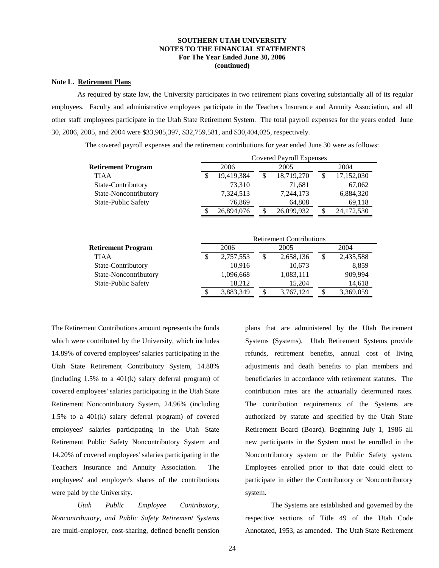#### **Note L. Retirement Plans**

 As required by state law, the University participates in two retirement plans covering substantially all of its regular employees. Faculty and administrative employees participate in the Teachers Insurance and Annuity Association, and all other staff employees participate in the Utah State Retirement System. The total payroll expenses for the years ended June 30, 2006, 2005, and 2004 were \$33,985,397, \$32,759,581, and \$30,404,025, respectively.

The covered payroll expenses and the retirement contributions for year ended June 30 were as follows:

|                            | <b>Covered Payroll Expenses</b> |            |    |                                 |    |            |  |
|----------------------------|---------------------------------|------------|----|---------------------------------|----|------------|--|
| <b>Retirement Program</b>  |                                 | 2006       |    | 2005                            |    | 2004       |  |
| <b>TIAA</b>                |                                 | 19,419,384 | \$ | 18,719,270                      | \$ | 17,152,030 |  |
| State-Contributory         |                                 | 73,310     |    | 71,681                          |    | 67,062     |  |
| State-Noncontributory      |                                 | 7,324,513  |    | 7,244,173                       |    | 6,884,320  |  |
| <b>State-Public Safety</b> |                                 | 76,869     |    | 64,808                          |    | 69,118     |  |
|                            |                                 | 26,894,076 | \$ | 26,099,932                      | \$ | 24,172,530 |  |
|                            |                                 |            |    | <b>Retirement Contributions</b> |    |            |  |
| <b>Retirement Program</b>  | 2006<br>2004<br>2005            |            |    |                                 |    |            |  |
| <b>TIAA</b>                |                                 | 2,757,553  | \$ | 2,658,136                       | \$ | 2,435,588  |  |
| State-Contributory         |                                 | 10,916     |    | 10,673                          |    | 8,859      |  |
| State-Noncontributory      |                                 | 1,096,668  |    | 1,083,111                       |    | 909,994    |  |
| <b>State-Public Safety</b> |                                 | 18,212     |    | 15,204                          |    | 14,618     |  |
|                            |                                 | 3,883,349  | \$ | 3,767,124                       | \$ | 3,369,059  |  |

The Retirement Contributions amount represents the funds which were contributed by the University, which includes 14.89% of covered employees' salaries participating in the Utah State Retirement Contributory System, 14.88% (including 1.5% to a 401(k) salary deferral program) of covered employees' salaries participating in the Utah State Retirement Noncontributory System, 24.96% (including 1.5% to a 401(k) salary deferral program) of covered employees' salaries participating in the Utah State Retirement Public Safety Noncontributory System and 14.20% of covered employees' salaries participating in the Teachers Insurance and Annuity Association. The employees' and employer's shares of the contributions were paid by the University.

 *Utah Public Employee Contributory, Noncontributory, and Public Safety Retirement Systems* are multi-employer, cost-sharing, defined benefit pension

plans that are administered by the Utah Retirement Systems (Systems). Utah Retirement Systems provide refunds, retirement benefits, annual cost of living adjustments and death benefits to plan members and beneficiaries in accordance with retirement statutes. The contribution rates are the actuarially determined rates. The contribution requirements of the Systems are authorized by statute and specified by the Utah State Retirement Board (Board). Beginning July 1, 1986 all new participants in the System must be enrolled in the Noncontributory system or the Public Safety system. Employees enrolled prior to that date could elect to participate in either the Contributory or Noncontributory system.

 The Systems are established and governed by the respective sections of Title 49 of the Utah Code Annotated, 1953, as amended. The Utah State Retirement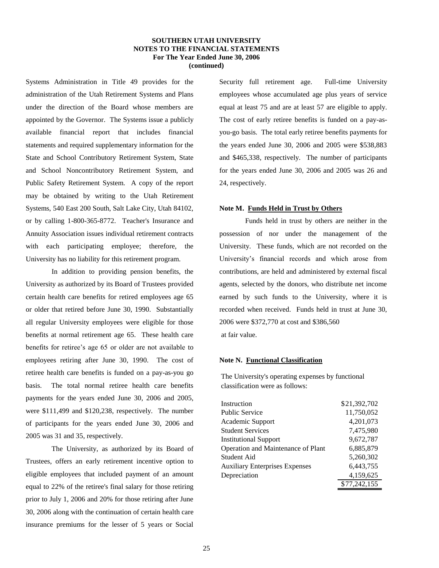Systems Administration in Title 49 provides for the administration of the Utah Retirement Systems and Plans under the direction of the Board whose members are appointed by the Governor. The Systems issue a publicly available financial report that includes financial statements and required supplementary information for the State and School Contributory Retirement System, State and School Noncontributory Retirement System, and Public Safety Retirement System. A copy of the report may be obtained by writing to the Utah Retirement Systems, 540 East 200 South, Salt Lake City, Utah 84102, or by calling 1-800-365-8772. Teacher's Insurance and Annuity Association issues individual retirement contracts with each participating employee; therefore, the University has no liability for this retirement program.

 In addition to providing pension benefits, the University as authorized by its Board of Trustees provided certain health care benefits for retired employees age 65 or older that retired before June 30, 1990. Substantially all regular University employees were eligible for those benefits at normal retirement age 65. These health care benefits for retiree's age 65 or older are not available to employees retiring after June 30, 1990. The cost of retiree health care benefits is funded on a pay-as-you go basis. The total normal retiree health care benefits payments for the years ended June 30, 2006 and 2005, were \$111,499 and \$120,238, respectively. The number of participants for the years ended June 30, 2006 and 2005 was 31 and 35, respectively.

 The University, as authorized by its Board of Trustees, offers an early retirement incentive option to eligible employees that included payment of an amount equal to 22% of the retiree's final salary for those retiring prior to July 1, 2006 and 20% for those retiring after June 30, 2006 along with the continuation of certain health care insurance premiums for the lesser of 5 years or Social

Security full retirement age. Full-time University employees whose accumulated age plus years of service equal at least 75 and are at least 57 are eligible to apply. The cost of early retiree benefits is funded on a pay-asyou-go basis. The total early retiree benefits payments for the years ended June 30, 2006 and 2005 were \$538,883 and \$465,338, respectively. The number of participants for the years ended June 30, 2006 and 2005 was 26 and 24, respectively.

#### **Note M. Funds Held in Trust by Others**

 Funds held in trust by others are neither in the possession of nor under the management of the University. These funds, which are not recorded on the University's financial records and which arose from contributions, are held and administered by external fiscal agents, selected by the donors, who distribute net income earned by such funds to the University, where it is recorded when received. Funds held in trust at June 30, 2006 were \$372,770 at cost and \$386,560 at fair value.

#### **Note N. Functional Classification**

The University's operating expenses by functional classification were as follows:

| Instruction                           | \$21,392,702 |
|---------------------------------------|--------------|
| Public Service                        | 11,750,052   |
| Academic Support                      | 4,201,073    |
| Student Services                      | 7,475,980    |
| <b>Institutional Support</b>          | 9,672,787    |
| Operation and Maintenance of Plant    | 6,885,879    |
| Student Aid                           | 5,260,302    |
| <b>Auxiliary Enterprises Expenses</b> | 6,443,755    |
| Depreciation                          | 4,159,625    |
|                                       | \$77,242,155 |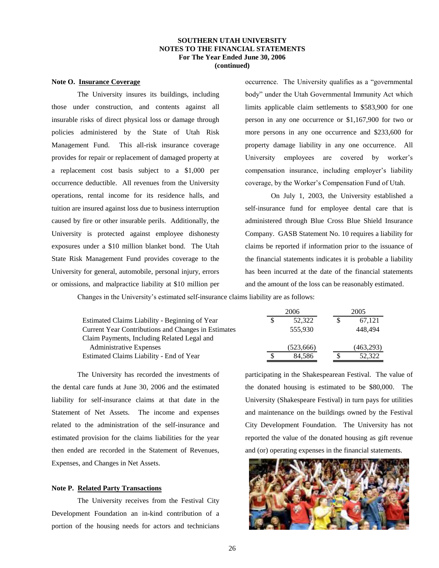#### **Note O. Insurance Coverage**

 The University insures its buildings, including those under construction, and contents against all insurable risks of direct physical loss or damage through policies administered by the State of Utah Risk Management Fund. This all-risk insurance coverage provides for repair or replacement of damaged property at a replacement cost basis subject to a \$1,000 per occurrence deductible. All revenues from the University operations, rental income for its residence halls, and tuition are insured against loss due to business interruption caused by fire or other insurable perils. Additionally, the University is protected against employee dishonesty exposures under a \$10 million blanket bond. The Utah State Risk Management Fund provides coverage to the University for general, automobile, personal injury, errors or omissions, and malpractice liability at \$10 million per

occurrence. The University qualifies as a "governmental body" under the Utah Governmental Immunity Act which limits applicable claim settlements to \$583,900 for one person in any one occurrence or \$1,167,900 for two or more persons in any one occurrence and \$233,600 for property damage liability in any one occurrence. All University employees are covered by worker's compensation insurance, including employer's liability coverage, by the Worker's Compensation Fund of Utah.

 On July 1, 2003, the University established a self-insurance fund for employee dental care that is administered through Blue Cross Blue Shield Insurance Company. GASB Statement No. 10 requires a liability for claims be reported if information prior to the issuance of the financial statements indicates it is probable a liability has been incurred at the date of the financial statements and the amount of the loss can be reasonably estimated.

Changes in the University's estimated self-insurance claims liability are as follows:

| <b>Estimated Claims Liability - Beginning of Year</b> | 52,322    | \$.      | 67.121     |
|-------------------------------------------------------|-----------|----------|------------|
| Current Year Contributions and Changes in Estimates   | 555.930   |          | 448.494    |
| Claim Payments, Including Related Legal and           |           |          |            |
| <b>Administrative Expenses</b>                        | (523,666) |          | (463, 293) |
| Estimated Claims Liability - End of Year              | 84.586    | <b>S</b> | 52.322     |

 The University has recorded the investments of the dental care funds at June 30, 2006 and the estimated liability for self-insurance claims at that date in the Statement of Net Assets. The income and expenses related to the administration of the self-insurance and estimated provision for the claims liabilities for the year then ended are recorded in the Statement of Revenues, Expenses, and Changes in Net Assets.

#### **Note P. Related Party Transactions**

 The University receives from the Festival City Development Foundation an in-kind contribution of a portion of the housing needs for actors and technicians

| 2006 |           | 2005 |            |  |
|------|-----------|------|------------|--|
| \$   | 52,322    | \$   | 67,121     |  |
|      | 555,930   |      | 448.494    |  |
|      | (523,666) |      | (463, 293) |  |
| Φ    | 0.1 E0C   | Φ    | EO OOO     |  |

participating in the Shakespearean Festival. The value of the donated housing is estimated to be \$80,000. The University (Shakespeare Festival) in turn pays for utilities and maintenance on the buildings owned by the Festival City Development Foundation. The University has not reported the value of the donated housing as gift revenue and (or) operating expenses in the financial statements.

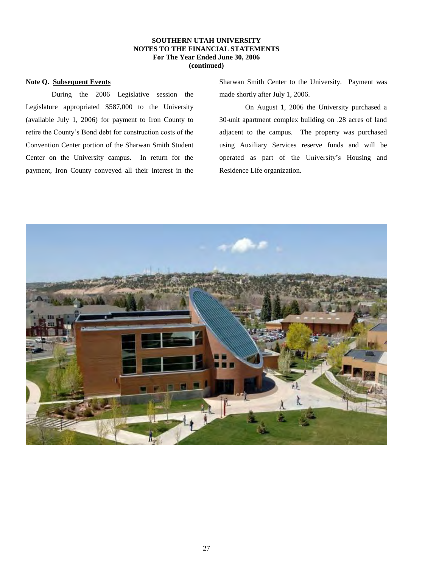#### **Note Q. Subsequent Events**

 During the 2006 Legislative session the Legislature appropriated \$587,000 to the University (available July 1, 2006) for payment to Iron County to retire the County's Bond debt for construction costs of the Convention Center portion of the Sharwan Smith Student Center on the University campus. In return for the payment, Iron County conveyed all their interest in the Sharwan Smith Center to the University. Payment was made shortly after July 1, 2006.

 On August 1, 2006 the University purchased a 30-unit apartment complex building on .28 acres of land adjacent to the campus. The property was purchased using Auxiliary Services reserve funds and will be operated as part of the University's Housing and Residence Life organization.

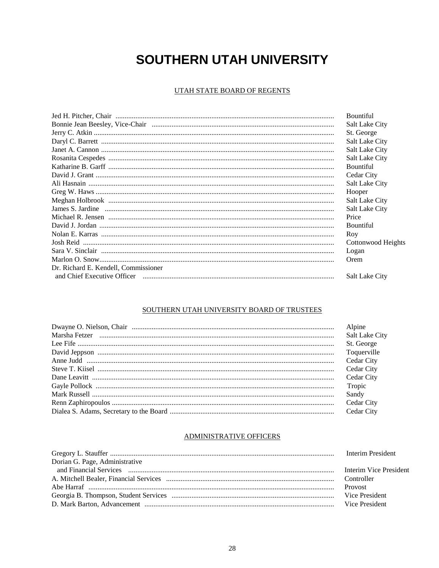#### UTAH STATE BOARD OF REGENTS

|                                      | <b>Bountiful</b>      |
|--------------------------------------|-----------------------|
|                                      | <b>Salt Lake City</b> |
|                                      | St. George            |
|                                      | Salt Lake City        |
|                                      | Salt Lake City        |
|                                      | Salt Lake City        |
|                                      | <b>Bountiful</b>      |
|                                      | Cedar City            |
|                                      | <b>Salt Lake City</b> |
|                                      | Hooper                |
|                                      | Salt Lake City        |
|                                      | Salt Lake City        |
|                                      | Price                 |
|                                      | <b>Bountiful</b>      |
|                                      | Roy                   |
|                                      | Cottonwood Heights    |
|                                      | Logan                 |
|                                      | Orem                  |
| Dr. Richard E. Kendell, Commissioner |                       |
|                                      | <b>Salt Lake City</b> |
|                                      |                       |

#### SOUTHERN UTAH UNIVERSITY BOARD OF TRUSTEES

| Alpine         |
|----------------|
| Salt Lake City |
| St. George     |
| Toquerville    |
| Cedar City     |
| Cedar City     |
| Cedar City     |
| Tropic         |
| Sandy          |
| Cedar City     |
| Cedar City     |
|                |

#### **ADMINISTRATIVE OFFICERS**

|                                | Interim President      |
|--------------------------------|------------------------|
| Dorian G. Page, Administrative |                        |
|                                | Interim Vice President |
|                                | Controller             |
|                                | Provost                |
|                                | Vice President         |
|                                | Vice President         |